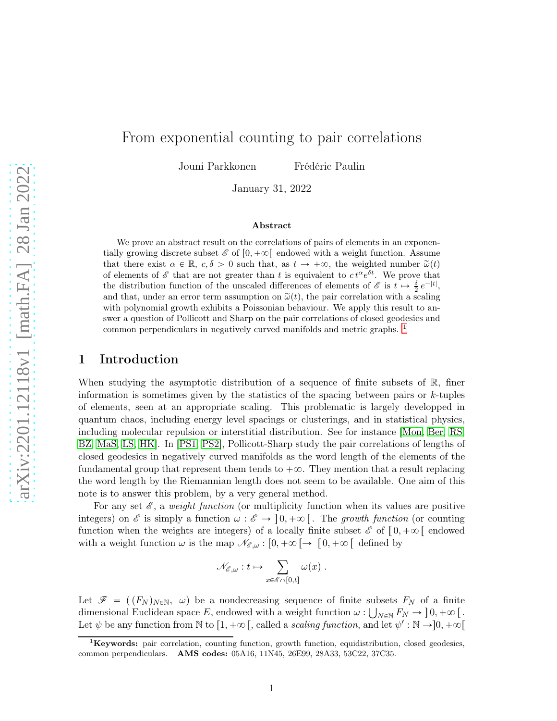# From exponential counting to pair correlations

Jouni Parkkonen Frédéric Paulin

January 31, 2022

#### Abstract

We prove an abstract result on the correlations of pairs of elements in an exponentially growing discrete subset  $\mathscr{E}$  of  $[0, +\infty[$  endowed with a weight function. Assume that there exist  $\alpha \in \mathbb{R}$ ,  $c, \delta > 0$  such that, as  $t \to +\infty$ , the weighted number  $\tilde{\omega}(t)$ of elements of  $\mathscr E$  that are not greater than t is equivalent to  $ct^{\alpha}e^{\delta t}$ . We prove that the distribution function of the unscaled differences of elements of  $\mathscr E$  is  $t \mapsto \frac{\delta}{2} e^{-|t|}$ , and that, under an error term assumption on  $\tilde{\omega}(t)$ , the pair correlation with a scaling with polynomial growth exhibits a Poissonian behaviour. We apply this result to answer a question of Pollicott and Sharp on the pair correlations of closed geodesics and common perpendiculars in negatively curved manifolds and metric graphs. [1](#page-0-0)

## 1 Introduction

When studying the asymptotic distribution of a sequence of finite subsets of R, finer information is sometimes given by the statistics of the spacing between pairs or  $k$ -tuples of elements, seen at an appropriate scaling. This problematic is largely developped in quantum chaos, including energy level spacings or clusterings, and in statistical physics, including molecular repulsion or interstitial distribution. See for instance [\[Mon,](#page-16-0) [Ber,](#page-16-1) [RS,](#page-17-0) [BZ,](#page-16-2) [MaS,](#page-16-3) [LS,](#page-16-4) [HK\]](#page-16-5). In [\[PS1,](#page-17-1) [PS2\]](#page-17-2), Pollicott-Sharp study the pair correlations of lengths of closed geodesics in negatively curved manifolds as the word length of the elements of the fundamental group that represent them tends to  $+\infty$ . They mention that a result replacing the word length by the Riemannian length does not seem to be available. One aim of this note is to answer this problem, by a very general method.

For any set  $\mathscr{E}$ , a weight function (or multiplicity function when its values are positive integers) on  $\mathscr E$  is simply a function  $\omega : \mathscr E \to [0, +\infty[$ . The growth function (or counting function when the weights are integers) of a locally finite subset  $\mathscr{E}$  of  $[0, +\infty)$  endowed with a weight function  $\omega$  is the map  $\mathcal{N}_{\mathscr{E},\omega} : [0, +\infty[ \rightarrow [0, +\infty[$  defined by

$$
\mathscr{N}_{\mathscr{E},\omega}:t\mapsto\sum_{x\in\mathscr{E}\cap[0,t]}\omega(x)\ .
$$

Let  $\mathscr{F} = ((F_N)_{N \in \mathbb{N}}, \omega)$  be a nondecreasing sequence of finite subsets  $F_N$  of a finite dimensional Euclidean space E, endowed with a weight function  $\omega : \bigcup_{N \in \mathbb{N}} F_N \to [0, +\infty)$ . Let  $\psi$  be any function from N to  $[1, +\infty)$ , called a scaling function, and let  $\psi' : \mathbb{N} \to ]0, +\infty[$ 

<span id="page-0-0"></span> ${}^{1}$ Keywords: pair correlation, counting function, growth function, equidistribution, closed geodesics, common perpendiculars. AMS codes: 05A16, 11N45, 26E99, 28A33, 53C22, 37C35.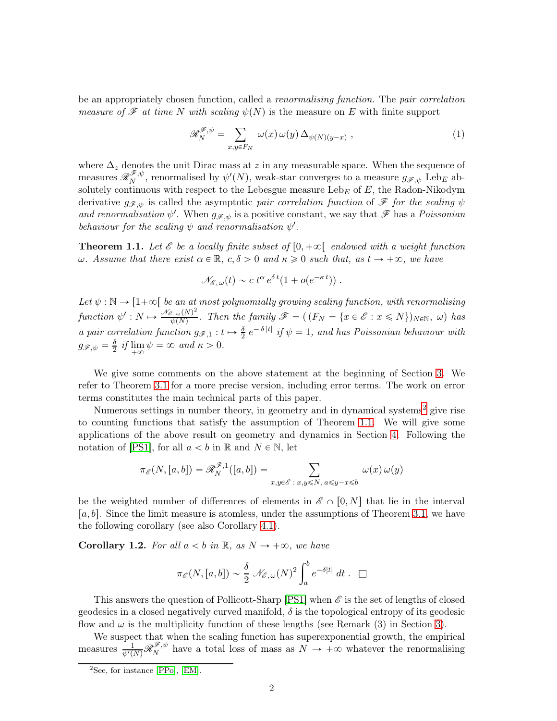be an appropriately chosen function, called a renormalising function. The pair correlation *measure of F at time N with scaling*  $\psi(N)$  is the measure on E with finite support

<span id="page-1-2"></span>
$$
\mathscr{R}_{N}^{\mathscr{F},\psi} = \sum_{x,y \in F_{N}} \omega(x) \omega(y) \Delta_{\psi(N)(y-x)}, \qquad (1)
$$

where  $\Delta_z$  denotes the unit Dirac mass at z in any measurable space. When the sequence of measures  $\mathscr{R}_{N}^{\mathscr{F}, \psi}$  $N^{\mathscr{F}, \psi}$ , renormalised by  $\psi'(N)$ , weak-star converges to a measure  $g_{\mathscr{F}, \psi}$  Leb<sub>E</sub> absolutely continuous with respect to the Lebesgue measure  $\text{Leb}_E$  of E, the Radon-Nikodym derivative  $g_{\mathscr{F},\psi}$  is called the asymptotic pair correlation function of  $\mathscr{F}$  for the scaling  $\psi$ and renormalisation  $\psi'$ . When  $g_{\mathscr{F}, \psi}$  is a positive constant, we say that  $\mathscr F$  has a Poissonian behaviour for the scaling  $\psi$  and renormalisation  $\psi'$ .

<span id="page-1-1"></span>**Theorem 1.1.** Let  $\mathscr E$  be a locally finite subset of  $[0, +\infty[$  endowed with a weight function ω. Assume that there exist  $\alpha \in \mathbb{R}$ ,  $c, \delta > 0$  and  $\kappa \geq 0$  such that, as  $t \to +\infty$ , we have

$$
\mathcal{N}_{\mathscr{E},\,\omega}(t)\sim c\,t^{\alpha}\,e^{\delta\,t}(1+o(e^{-\kappa\,t}))\;.
$$

Let  $\psi : \mathbb{N} \to [1+\infty[$  be an at most polynomially growing scaling function, with renormalising function  $\psi': N \mapsto \frac{\mathscr{N}_{\mathscr{E}, \omega}(N)^2}{\psi(N)}$  $\mathscr{F}_{\psi(N)}^{(\mathcal{S},\omega(N)^2)}$ . Then the family  $\mathscr{F} = ((F_N = \{x \in \mathscr{E} : x \leqslant N\})_{N \in \mathbb{N}}, \omega)$  has a pair correlation function  $g_{\mathscr{F},1}: t \mapsto \frac{\delta}{2} e^{-\delta |t|}$  if  $\psi = 1$ , and has Poissonian behaviour with  $g_{\mathscr{F},\psi} = \frac{\delta}{2}$  if  $\lim_{+\infty}$  $\lim_{+\infty} \psi = \infty$  and  $\kappa > 0$ .

We give some comments on the above statement at the beginning of Section [3.](#page-4-0) We refer to Theorem [3.1](#page-5-0) for a more precise version, including error terms. The work on error terms constitutes the main technical parts of this paper.

Numerous settings in number theory, in geometry and in dynamical systems<sup>[2](#page-1-0)</sup> give rise to counting functions that satisfy the assumption of Theorem [1.1.](#page-1-1) We will give some applications of the above result on geometry and dynamics in Section [4.](#page-13-0) Following the notation of [\[PS1\]](#page-17-1), for all  $a < b$  in R and  $N \in \mathbb{N}$ , let

$$
\pi_{\mathscr{E}}(N,[a,b]) = \mathscr{R}_{N}^{\mathscr{F},1}([a,b]) = \sum_{x,y \in \mathscr{E} \ : \ x,y \le N, \ a \le y-x \le b} \omega(x) \omega(y)
$$

be the weighted number of differences of elements in  $\mathscr{E} \cap [0, N]$  that lie in the interval  $[a, b]$ . Since the limit measure is atomless, under the assumptions of Theorem [3.1,](#page-5-0) we have the following corollary (see also Corollary [4.1\)](#page-14-0).

**Corollary 1.2.** For all  $a < b$  in  $\mathbb{R}$ , as  $N \rightarrow +\infty$ , we have

$$
\pi_{\mathscr{E}}(N,[a,b]) \sim \frac{\delta}{2} \mathscr{N}_{\mathscr{E},\omega}(N)^2 \int_a^b e^{-\delta|t|} dt \ . \ \ \Box
$$

This answers the question of Pollicott-Sharp [\[PS1\]](#page-17-1) when  $\mathscr E$  is the set of lengths of closed geodesics in a closed negatively curved manifold,  $\delta$  is the topological entropy of its geodesic flow and  $\omega$  is the multiplicity function of these lengths (see Remark (3) in Section [3\)](#page-4-0).

We suspect that when the scaling function has superexponential growth, the empirical measures  $\frac{1}{\psi'(N)}\mathscr{R}_{N}^{\mathscr{F},\psi}$  $N^{\mathscr{S},\psi}$  have a total loss of mass as  $N \to +\infty$  whatever the renormalising

<span id="page-1-0"></span><sup>&</sup>lt;sup>2</sup>See, for instance [\[PPo\]](#page-16-6), [\[EM\]](#page-16-7).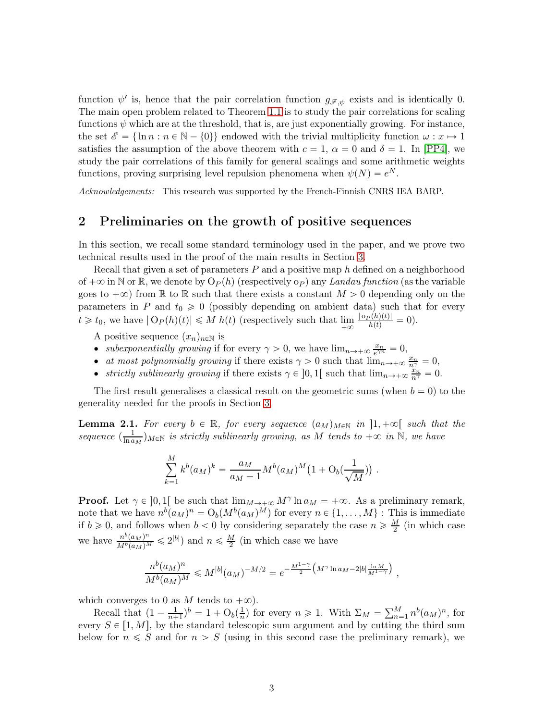function  $\psi'$  is, hence that the pair correlation function  $g_{\mathscr{F},\psi}$  exists and is identically 0. The main open problem related to Theorem [1.1](#page-1-1) is to study the pair correlations for scaling functions  $\psi$  which are at the threshold, that is, are just exponentially growing. For instance, the set  $\mathscr{E} = \{\ln n : n \in \mathbb{N} - \{0\}\}\$ endowed with the trivial multiplicity function  $\omega : x \mapsto 1$ satisfies the assumption of the above theorem with  $c = 1$ ,  $\alpha = 0$  and  $\delta = 1$ . In [\[PP4\]](#page-16-8), we study the pair correlations of this family for general scalings and some arithmetic weights functions, proving surprising level repulsion phenomena when  $\psi(N) = e^N$ .

<span id="page-2-0"></span>Acknowledgements: This research was supported by the French-Finnish CNRS IEA BARP.

# 2 Preliminaries on the growth of positive sequences

In this section, we recall some standard terminology used in the paper, and we prove two technical results used in the proof of the main results in Section [3.](#page-4-0)

Recall that given a set of parameters  $P$  and a positive map  $h$  defined on a neighborhood of  $+\infty$  in N or R, we denote by  $O_P(h)$  (respectively o<sub>P</sub>) any Landau function (as the variable goes to  $+\infty$ ) from R to R such that there exists a constant  $M > 0$  depending only on the parameters in P and  $t_0 \geq 0$  (possibly depending on ambient data) such that for every  $t \geq t_0$ , we have  $|O_P(h)(t)| \leq M h(t)$  (respectively such that lim  $\frac{|\mathfrak{0}_P(h)(t)|}{h(t)} = 0.$ 

A positive sequence  $(x_n)_{n\in\mathbb{N}}$  is

- subexponentially growing if for every  $\gamma > 0$ , we have  $\lim_{n \to +\infty} \frac{x_n}{e^{\gamma n}} = 0$ ,
- at most polynomially growing if there exists  $\gamma > 0$  such that  $\lim_{n \to +\infty} \frac{x_n}{n^{\gamma}} = 0$ ,
- *strictly sublinearly growing* if there exists  $\gamma \in ]0,1[$  such that  $\lim_{n\to+\infty} \frac{x_n}{n^{\gamma}} = 0$ .

The first result generalises a classical result on the geometric sums (when  $b = 0$ ) to the generality needed for the proofs in Section [3.](#page-4-0)

<span id="page-2-1"></span>**Lemma 2.1.** For every  $b \in \mathbb{R}$ , for every sequence  $(a_M)_{M \in \mathbb{N}}$  in  $]1, +\infty[$  such that the sequence  $\left(\frac{1}{\ln a}\right)$  $\frac{1}{\ln a_M}$ ) $_{M \in \mathbb{N}}$  is strictly sublinearly growing, as M tends to  $+\infty$  in  $\mathbb{N}$ , we have

$$
\sum_{k=1}^{M} k^{b} (a_{M})^{k} = \frac{a_{M}}{a_{M}-1} M^{b} (a_{M})^{M} (1 + O_{b}(\frac{1}{\sqrt{M}})).
$$

**Proof.** Let  $\gamma \in [0, 1]$  be such that  $\lim_{M \to \infty} M^{\gamma} \ln a_M = +\infty$ . As a preliminary remark, note that we have  $n^b(a_M)^n = O_b(M^b(a_M)^M)$  for every  $n \in \{1, ..., M\}$ : This is immediate if  $b \ge 0$ , and follows when  $b < 0$  by considering separately the case  $n \ge \frac{M}{2}$  (in which case we have  $\frac{n^b (a_M)^n}{M^b (a_M)^M} \leq 2^{|b|}$  and  $n \leq \frac{M}{2}$  (in which case we have

$$
\frac{n^b (a_M)^n}{M^b (a_M)^M} \leqslant M^{|b|} (a_M)^{-M/2} = e^{-\frac{M^{1-\gamma}}{2} \left(M^{\gamma} \ln a_M - 2|b| \frac{\ln M}{M^{1-\gamma}}\right)},
$$

which converges to 0 as M tends to  $+\infty$ ).

Recall that  $\left(1 - \frac{1}{n + 1}\right)$  $(\frac{1}{n+1})^b = 1 + O_b(\frac{1}{n})$  $\frac{1}{n}$  for every  $n \geq 1$ . With  $\Sigma_M = \sum_{n=1}^M n^b (a_M)^n$ , for every  $S \in [1, M]$ , by the standard telescopic sum argument and by cutting the third sum below for  $n \leq S$  and for  $n > S$  (using in this second case the preliminary remark), we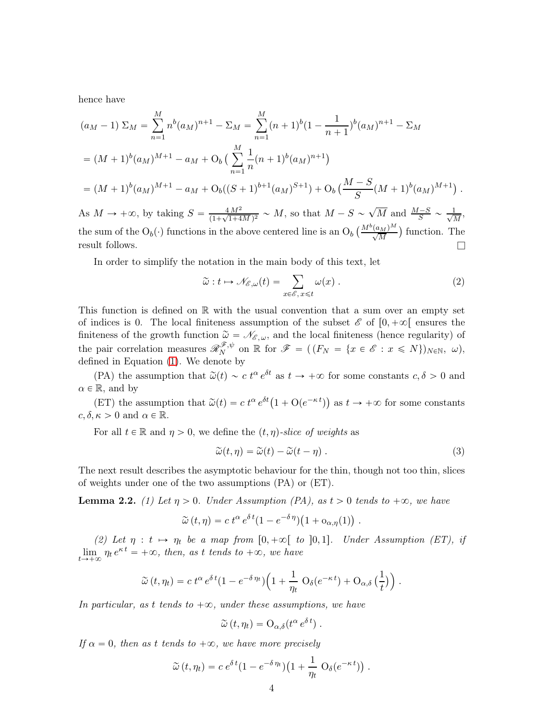hence have

$$
(a_M - 1) \Sigma_M = \sum_{n=1}^M n^b (a_M)^{n+1} - \Sigma_M = \sum_{n=1}^M (n+1)^b (1 - \frac{1}{n+1})^b (a_M)^{n+1} - \Sigma_M
$$
  
=  $(M+1)^b (a_M)^{M+1} - a_M + O_b \left( \sum_{n=1}^M \frac{1}{n} (n+1)^b (a_M)^{n+1} \right)$   
=  $(M+1)^b (a_M)^{M+1} - a_M + O_b((S+1)^{b+1} (a_M)^{S+1}) + O_b \left( \frac{M-S}{S} (M+1)^b (a_M)^{M+1} \right).$ 

As  $M \to +\infty$ , by taking  $S = \frac{4 M^2}{(1 + \sqrt{1 + 4S})^2}$  $\frac{4M^2}{(1+\sqrt{1+4M})^2} \sim M$ , so that  $M - S \sim \sqrt{M}$  and  $\frac{M-S}{S} \sim \frac{1}{\sqrt{l}}$  $\frac{1}{M}$ the sum of the  $O_b(\cdot)$  functions in the above centered line is an  $O_b\left(\frac{M^b(a_M)^M}{\sqrt{M}}\right)$  function. The result follows.  $\Box$ 

In order to simplify the notation in the main body of this text, let

<span id="page-3-0"></span>
$$
\widetilde{\omega}: t \mapsto \mathcal{N}_{\mathscr{E},\omega}(t) = \sum_{x \in \mathscr{E}, x \leq t} \omega(x) . \tag{2}
$$

This function is defined on  $\mathbb R$  with the usual convention that a sum over an empty set of indices is 0. The local finiteness assumption of the subset  $\mathscr{E}$  of  $[0, +\infty[$  ensures the finiteness of the growth function  $\tilde{\omega} = \mathcal{N}_{\mathscr{E}, \omega}$ , and the local finiteness (hence regularity) of the pair correlation measures  $\mathscr{R}_{N}^{\mathscr{F},\psi}$  $N^{\mathscr{F}, \psi}$  on  $\mathbb R$  for  $\mathscr{F} = ((F_N = \{x \in \mathscr{E} : x \leqslant N\})_{N \in \mathbb N}, \omega),$ defined in Equation [\(1\)](#page-1-2). We denote by

(PA) the assumption that  $\tilde{\omega}(t) \sim c t^{\alpha} e^{\delta t}$  as  $t \to +\infty$  for some constants  $c, \delta > 0$  and  $\alpha \in \mathbb{R}$ , and by

(ET) the assumption that  $\tilde{\omega}(t) = c t^{\alpha} e^{\delta t} (1 + O(e^{-\kappa t}))$  as  $t \to +\infty$  for some constants  $c, \delta, \kappa > 0$  and  $\alpha \in \mathbb{R}$ .

For all  $t \in \mathbb{R}$  and  $\eta > 0$ , we define the  $(t, \eta)$ -slice of weights as

<span id="page-3-1"></span>
$$
\widetilde{\omega}(t,\eta) = \widetilde{\omega}(t) - \widetilde{\omega}(t-\eta) . \tag{3}
$$

The next result describes the asymptotic behaviour for the thin, though not too thin, slices of weights under one of the two assumptions (PA) or (ET).

<span id="page-3-2"></span>**Lemma 2.2.** (1) Let  $\eta > 0$ . Under Assumption (PA), as  $t > 0$  tends to  $+\infty$ , we have

$$
\widetilde{\omega}(t,\eta) = c t^{\alpha} e^{\delta t} (1 - e^{-\delta \eta}) (1 + o_{\alpha,\eta}(1)) .
$$

(2) Let  $\eta : t \mapsto \eta_t$  be a map from  $[0, +\infty[$  to  $]0, 1]$ . Under Assumption (ET), if lim  $\lim_{t\to+\infty}\eta_t e^{\kappa t} = +\infty$ , then, as t tends to  $+\infty$ , we have

$$
\widetilde{\omega}(t,\eta_t) = c \, t^{\alpha} \, e^{\delta \, t} (1 - e^{-\delta \, \eta_t}) \Big( 1 + \frac{1}{\eta_t} \, \mathrm{O}_{\delta}(e^{-\kappa \, t}) + \mathrm{O}_{\alpha,\delta} \left( \frac{1}{t} \right) \Big) \, .
$$

In particular, as t tends to  $+\infty$ , under these assumptions, we have

$$
\widetilde{\omega}(t,\eta_t) = \mathrm{O}_{\alpha,\delta}(t^{\alpha} e^{\delta t}).
$$

If  $\alpha = 0$ , then as t tends to  $+\infty$ , we have more precisely

$$
\widetilde{\omega}(t,\eta_t) = c e^{\delta t} (1 - e^{-\delta \eta_t}) \left( 1 + \frac{1}{\eta_t} O_{\delta}(e^{-\kappa t}) \right).
$$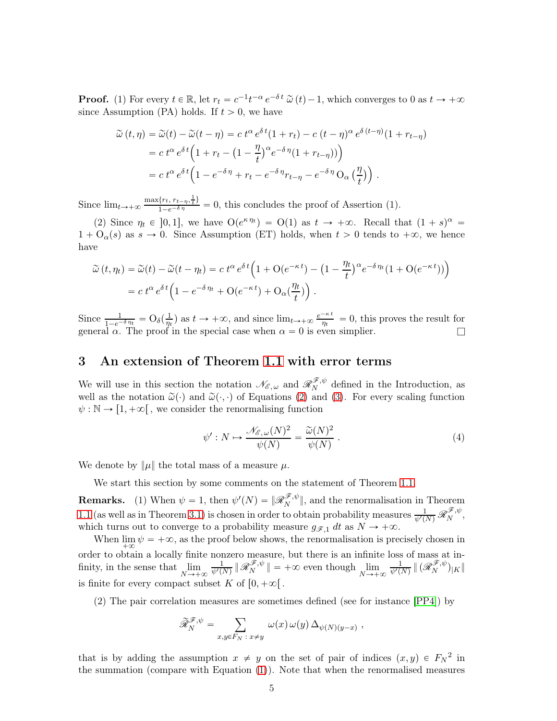**Proof.** (1) For every  $t \in \mathbb{R}$ , let  $r_t = c^{-1}t^{-\alpha}e^{-\delta t} \tilde{\omega}(t) - 1$ , which converges to 0 as  $t \to +\infty$ since Assumption (PA) holds. If  $t > 0$ , we have

$$
\widetilde{\omega}(t,\eta) = \widetilde{\omega}(t) - \widetilde{\omega}(t-\eta) = c t^{\alpha} e^{\delta t} (1+r_t) - c (t-\eta)^{\alpha} e^{\delta (t-\eta)} (1+r_{t-\eta})
$$

$$
= c t^{\alpha} e^{\delta t} \left( 1 + r_t - (1-\frac{\eta}{t})^{\alpha} e^{-\delta \eta} (1+r_{t-\eta})) \right)
$$

$$
= c t^{\alpha} e^{\delta t} \left( 1 - e^{-\delta \eta} + r_t - e^{-\delta \eta} r_{t-\eta} - e^{-\delta \eta} O_{\alpha} \left( \frac{\eta}{t} \right) \right).
$$

Since  $\lim_{t\to+\infty} \frac{\max\{r_t, r_{t-\eta}, \frac{1}{t}\}}{1-e^{-\delta\eta}} = 0$ , this concludes the proof of Assertion (1).

(2) Since  $\eta_t \in [0, 1]$ , we have  $O(e^{\kappa \eta_t}) = O(1)$  as  $t \to +\infty$ . Recall that  $(1 + s)^{\alpha} =$  $1 + O_{\alpha}(s)$  as  $s \to 0$ . Since Assumption (ET) holds, when  $t > 0$  tends to  $+\infty$ , we hence have

$$
\widetilde{\omega}(t,\eta_t) = \widetilde{\omega}(t) - \widetilde{\omega}(t-\eta_t) = c t^{\alpha} e^{\delta t} \left( 1 + O(e^{-\kappa t}) - \left( 1 - \frac{\eta_t}{t} \right)^{\alpha} e^{-\delta \eta_t} \left( 1 + O(e^{-\kappa t}) \right) \right)
$$
  
= 
$$
c t^{\alpha} e^{\delta t} \left( 1 - e^{-\delta \eta_t} + O(e^{-\kappa t}) + O_{\alpha}(\frac{\eta_t}{t}) \right).
$$

Since  $\frac{1}{1-e^{-\delta \eta_t}} = O_\delta(\frac{1}{\eta_t})$  $\frac{1}{\eta_t}$ ) as  $t \to +\infty$ , and since  $\lim_{t \to +\infty} \frac{e^{-\kappa t}}{\eta_t}$  $\frac{-\kappa}{\eta_t} = 0$ , this proves the result for general  $\alpha$ . The proof in the special case when  $\alpha = 0$  is even simplier.

## <span id="page-4-0"></span>3 An extension of Theorem [1.1](#page-1-1) with error terms

We will use in this section the notation  $\mathscr{N}_{\mathscr{E}, \omega}$  and  $\mathscr{R}_{N}^{\mathscr{F}, \psi}$  $N^{\mathscr{F},\psi}$  defined in the Introduction, as well as the notation  $\tilde{\omega}(\cdot)$  and  $\tilde{\omega}(\cdot, \cdot)$  of Equations [\(2\)](#page-3-0) and [\(3\)](#page-3-1). For every scaling function  $\psi : \mathbb{N} \to [1, +\infty]$ , we consider the renormalising function

<span id="page-4-1"></span>
$$
\psi': N \mapsto \frac{\mathcal{N}_{\mathscr{E},\omega}(N)^2}{\psi(N)} = \frac{\widetilde{\omega}(N)^2}{\psi(N)} . \tag{4}
$$

We denote by  $\|\mu\|$  the total mass of a measure  $\mu$ .

We start this section by some comments on the statement of Theorem [1.1.](#page-1-1)

**Remarks.** (1) When  $\psi = 1$ , then  $\psi'(N) = ||\mathscr{R}_N^{\mathscr{F}, \psi}||$ , and the renormalisation in Theorem [1.1](#page-1-1) (as well as in Theorem [3.1\)](#page-5-0) is chosen in order to obtain probability measures  $\frac{1}{\psi'(N)} \mathscr{R}_{N}^{\mathscr{F},\psi}$  $N^{\mathscr{F},\psi},$ which turns out to converge to a probability measure  $g_{\mathscr{F},1}$  dt as  $N \to +\infty$ .

When  $\lim_{n \to \infty} \psi = +\infty$ , as the proof below shows, the renormalisation is precisely chosen in order to obtain a locally finite nonzero measure, but there is an infinite loss of mass at infinity, in the sense that  $\lim$  $N \rightarrow +\infty$  $\frac{1}{\psi'(N)}\|\mathscr{R}_{N}^{\mathscr{F},\psi}$  $\lim_{N \to +\infty}$   $\lim_{N \to +\infty}$  $\frac{1}{\psi'(N)}\,\|\,(\mathscr{R}_{N}^{\mathscr{F},\psi}% (\theta,\partial_{\theta})\|_{\mathscr{W}}\leq\delta)$  $\vert N \vert^{\gamma}$  )  $\vert K \vert$ is finite for every compact subset K of  $[0, +\infty)$ .

(2) The pair correlation measures are sometimes defined (see for instance [\[PP4\]](#page-16-8)) by

$$
\widetilde{\mathscr{R}}_N^{\mathscr{F},\psi} = \sum_{x,y \in F_N\ :\ x \neq y} \ \omega(x) \, \omega(y) \, \Delta_{\psi(N)(y-x)} \ ,
$$

that is by adding the assumption  $x \neq y$  on the set of pair of indices  $(x, y) \in F_N^2$  in the summation (compare with Equation [\(1\)](#page-1-2)). Note that when the renormalised measures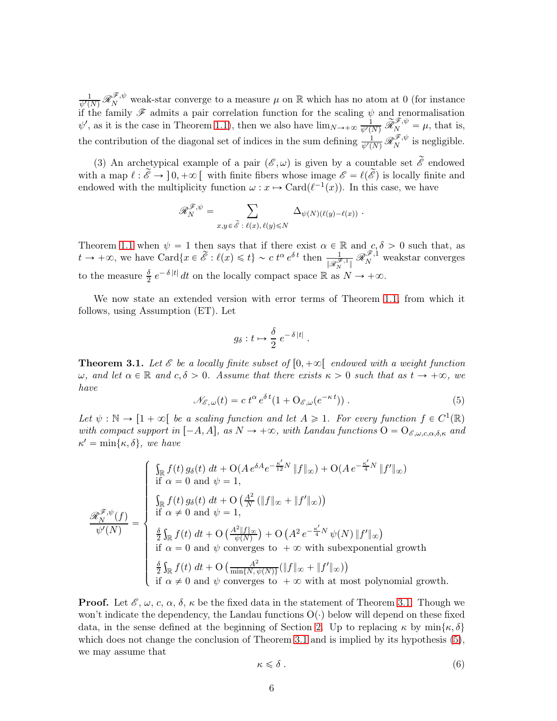$\frac{1}{\psi'(N)}\mathscr{R}_{N}^{\mathscr{F},\psi}$  weak-star converge to a measure  $\mu$  on R which has no atom at 0 (for instance if the family  $\mathscr F$  admits a pair correlation function for the scaling  $\psi$  and renormalisation  $\psi'$ , as it is the case in Theorem [1.1\)](#page-1-1), then we also have  $\lim_{N\to+\infty} \frac{1}{\psi'(N)} \widetilde{\mathscr{R}}_N^{\mathscr{F},\psi} = \mu$ , that is, the contribution of the diagonal set of indices in the sum defining  $\frac{1}{\psi'(N)} \mathscr{R}_{N}^{\mathscr{F},\psi}$  $N^{*,\psi}$  is negligible.

(3) An archetypical example of a pair  $(\mathscr{E}, \omega)$  is given by a countable set  $\widetilde{\mathscr{E}}$  endowed with a map  $\ell : \tilde{\mathscr{E}} \to [0, +\infty[$  with finite fibers whose image  $\mathscr{E} = \ell(\tilde{\mathscr{E}})$  is locally finite and endowed with the multiplicity function  $\omega : x \mapsto \text{Card}(\ell^{-1}(x))$ . In this case, we have

$$
\mathscr{R}_{N}^{\mathscr{F},\psi} = \sum_{x,y \in \widetilde{\mathscr{E}} \; : \; \ell(x),\, \ell(y) \leq N} \; \Delta_{\psi(N)(\ell(y)-\ell(x))} \; .
$$

Theorem [1.1](#page-1-1) when  $\psi = 1$  then says that if there exist  $\alpha \in \mathbb{R}$  and  $c, \delta > 0$  such that, as  $t \to +\infty$ , we have Card $\{x \in \widetilde{\mathscr{E}} : \ell(x) \leq t\} \sim c \ t^{\alpha} e^{\delta t}$  then  $\frac{1}{\|\mathscr{R}_{N}^{\mathscr{F},1}\|}$  $\mathscr{R}_{N}^{\mathscr{F},1}$  weakstar converges to the measure  $\frac{\delta}{2} e^{-\delta |t|} dt$  on the locally compact space  $\mathbb R$  as  $N \to +\infty$ .

We now state an extended version with error terms of Theorem [1.1,](#page-1-1) from which it follows, using Assumption (ET). Let

$$
g_{\delta}: t \mapsto \frac{\delta}{2} e^{-\delta |t|} .
$$

<span id="page-5-0"></span>**Theorem 3.1.** Let  $\mathscr E$  be a locally finite subset of  $[0, +\infty[$  endowed with a weight function  $ω$ , and let  $α \in \mathbb{R}$  and  $c, δ > 0$ . Assume that there exists  $κ > 0$  such that as  $t \to +\infty$ , we have

<span id="page-5-1"></span>
$$
\mathcal{N}_{\mathcal{E},\omega}(t) = c \ t^{\alpha} \ e^{\delta t} (1 + \mathcal{O}_{\mathcal{E},\omega}(e^{-\kappa t})) \ . \tag{5}
$$

Let  $\psi : \mathbb{N} \to [1 + \infty[$  be a scaling function and let  $A \geq 1$ . For every function  $f \in C^1(\mathbb{R})$ with compact support in  $[-A, A]$ , as  $N \to +\infty$ , with Landau functions  $O = O_{\mathscr{E}, \omega, c, \alpha, \delta, \kappa}$  and  $\kappa' = \min\{\kappa, \delta\},\;we\;have$ 

$$
\frac{\mathscr{L}_{N}^{\mathscr{F},\psi}(f)}{\psi'(N)} = \begin{cases} \int_{\mathbb{R}} f(t) g_{\delta}(t) dt + O(A e^{\delta A} e^{-\frac{\kappa'}{12}N} \|f\|_{\infty}) + O(A e^{-\frac{\kappa'}{4}N} \|f'\|_{\infty}) \\ \text{if } \alpha = 0 \text{ and } \psi = 1, \\ \int_{\mathbb{R}} f(t) g_{\delta}(t) dt + O\left(\frac{A^2}{N} (\|f\|_{\infty} + \|f'\|_{\infty})\right) \\ \text{if } \alpha \neq 0 \text{ and } \psi = 1, \\ \frac{\delta}{2} \int_{\mathbb{R}} f(t) dt + O\left(\frac{A^2 \|f\|_{\infty}}{\psi(N)}\right) + O\left(A^2 e^{-\frac{\kappa'}{4}N} \psi(N) \|f'\|_{\infty}\right) \\ \text{if } \alpha = 0 \text{ and } \psi \text{ converges to } +\infty \text{ with subexponential growth} \\ \frac{\delta}{2} \int_{\mathbb{R}} f(t) dt + O\left(\frac{A^2}{\min\{N, \psi(N)\}} (\|f\|_{\infty} + \|f'\|_{\infty})\right) \\ \text{if } \alpha \neq 0 \text{ and } \psi \text{ converges to } +\infty \text{ with at most polynomial growth.} \end{cases}
$$

**Proof.** Let  $\mathscr{E}, \omega, c, \alpha, \delta, \kappa$  be the fixed data in the statement of Theorem [3.1.](#page-5-0) Though we won't indicate the dependency, the Landau functions  $O(\cdot)$  below will depend on these fixed data, in the sense defined at the beginning of Section [2.](#page-2-0) Up to replacing  $\kappa$  by min $\{\kappa, \delta\}$ which does not change the conclusion of Theorem [3.1](#page-5-0) and is implied by its hypothesis [\(5\)](#page-5-1), we may assume that

<span id="page-5-2"></span>
$$
\kappa \leq \delta \tag{6}
$$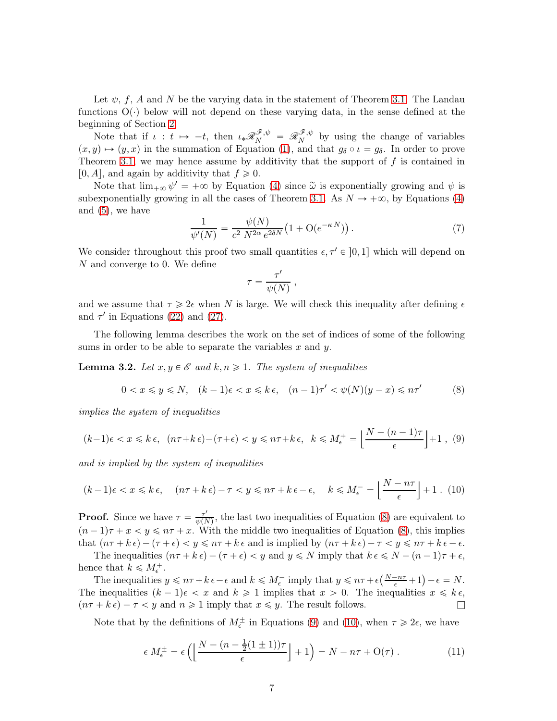Let  $\psi$ , f, A and N be the varying data in the statement of Theorem [3.1.](#page-5-0) The Landau functions  $O(\cdot)$  below will not depend on these varying data, in the sense defined at the beginning of Section [2.](#page-2-0)

Note that if  $\iota : t \mapsto -t$ , then  $\iota_*\mathscr{R}_N^{\mathscr{F}, \psi} = \mathscr{R}_N^{\mathscr{F}, \psi}$  $N^{\mathscr{F},\psi}$  by using the change of variables  $p(x, y) \mapsto (y, x)$  in the summation of Equation [\(1\)](#page-1-2), and that  $g_\delta \circ \iota = g_\delta$ . In order to prove Theorem [3.1,](#page-5-0) we may hence assume by additivity that the support of  $f$  is contained in [0, A], and again by additivity that  $f \ge 0$ .

Note that  $\lim_{+\infty} \psi' = +\infty$  by Equation [\(4\)](#page-4-1) since  $\tilde{\omega}$  is exponentially growing and  $\psi$  is subexponentially growing in all the cases of Theorem [3.1.](#page-5-0) As  $N \to +\infty$ , by Equations [\(4\)](#page-4-1) and  $(5)$ , we have

<span id="page-6-5"></span>
$$
\frac{1}{\psi'(N)} = \frac{\psi(N)}{c^2 N^{2\alpha} e^{2\delta N}} \left( 1 + \mathcal{O}(e^{-\kappa N}) \right). \tag{7}
$$

We consider throughout this proof two small quantities  $\epsilon, \tau' \in ]0, 1]$  which will depend on N and converge to 0. We define

$$
\tau = \frac{\tau'}{\psi(N)} ,
$$

and we assume that  $\tau \geq 2\epsilon$  when N is large. We will check this inequality after defining  $\epsilon$ and  $\tau'$  in Equations [\(22\)](#page-8-0) and [\(27\)](#page-10-0).

The following lemma describes the work on the set of indices of some of the following sums in order to be able to separate the variables  $x$  and  $y$ .

<span id="page-6-3"></span>**Lemma 3.2.** Let  $x, y \in \mathcal{E}$  and  $k, n \geq 1$ . The system of inequalities

<span id="page-6-0"></span>
$$
0 < x \leq y \leq N, \quad (k-1)\epsilon < x \leq k\epsilon, \quad (n-1)\tau' < \psi(N)(y-x) \leq n\tau' \tag{8}
$$

implies the system of inequalities

<span id="page-6-1"></span>
$$
(k-1)\epsilon < x \leq k\,\epsilon,\ \left(n\tau + k\,\epsilon\right) - \left(\tau + \epsilon\right) < y \leq n\tau + k\,\epsilon,\ \ k \leqslant M_{\epsilon}^+ = \left\lfloor\frac{N - (n-1)\tau}{\epsilon}\right\rfloor + 1\ ,\ (9)
$$

and is implied by the system of inequalities

<span id="page-6-2"></span>
$$
(k-1)\epsilon < x \leq k\epsilon, \quad (n\tau + k\epsilon) - \tau < y \leq n\tau + k\epsilon - \epsilon, \quad k \leq M_{\epsilon}^- = \left\lfloor \frac{N - n\tau}{\epsilon} \right\rfloor + 1 \tag{10}
$$

**Proof.** Since we have  $\tau = \frac{\tau'}{\psi(\overline{N})}$  $\frac{\tau}{\psi(N)}$ , the last two inequalities of Equation [\(8\)](#page-6-0) are equivalent to  $(n-1)\tau + x < y \leq n\tau + x$ . With the middle two inequalities of Equation [\(8\)](#page-6-0), this implies that  $(n\tau + k\epsilon) - (\tau + \epsilon) < y \leq n\tau + k\epsilon$  and is implied by  $(n\tau + k\epsilon) - \tau < y \leq n\tau + k\epsilon - \epsilon$ .

The inequalities  $(n\tau + k\epsilon) - (\tau + \epsilon) < y$  and  $y \le N$  imply that  $k \epsilon \le N - (n-1)\tau + \epsilon$ , hence that  $k \leq M_{\epsilon}^+$ .

The inequalities  $y \leq n\tau + k\epsilon - \epsilon$  and  $k \leq M_{\epsilon}^-$  imply that  $y \leq n\tau + \epsilon(\frac{N-n\tau}{\epsilon} + 1) - \epsilon = N$ . The inequalities  $(k - 1)\epsilon < x$  and  $k \ge 1$  implies that  $x > 0$ . The inequalities  $x \le k\epsilon$ ,  $(n\tau + k\epsilon) - \tau < y$  and  $n \geq 1$  imply that  $x \leq y$ . The result follows.

Note that by the definitions of  $M_{\epsilon}^{\pm}$  in Equations [\(9\)](#page-6-1) and [\(10\)](#page-6-2), when  $\tau \geq 2\epsilon$ , we have

<span id="page-6-4"></span>
$$
\epsilon \, M_{\epsilon}^{\pm} = \epsilon \left( \left[ \frac{N - (n - \frac{1}{2}(1 \pm 1))\tau}{\epsilon} \right] + 1 \right) = N - n\tau + \mathcal{O}(\tau) \; . \tag{11}
$$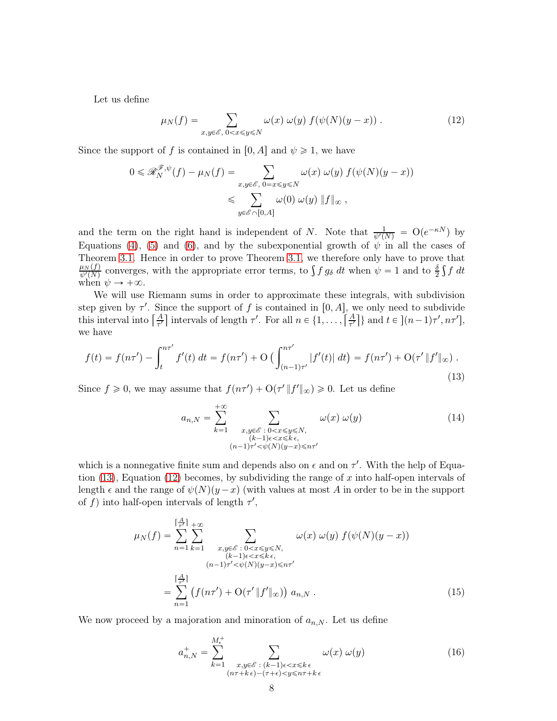Let us define

<span id="page-7-1"></span>
$$
\mu_N(f) = \sum_{x,y \in \mathscr{E}, \ 0 < x \le y \le N} \omega(x) \ \omega(y) \ f(\psi(N)(y-x)) \ . \tag{12}
$$

Since the support of f is contained in [0, A] and  $\psi \geq 1$ , we have

$$
0 \leqslant \mathcal{R}_N^{\mathcal{F},\psi}(f) - \mu_N(f) = \sum_{\substack{x,y \in \mathcal{E}, \ 0=x \leqslant y \leqslant N}} \omega(x) \ \omega(y) \ f(\psi(N)(y-x))
$$
  

$$
\leqslant \sum_{y \in \mathcal{E} \cap [0,A]} \omega(0) \ \omega(y) \ \|f\|_{\infty} \ ,
$$

and the term on the right hand is independent of N. Note that  $\frac{1}{\psi'(N)} = O(e^{-\kappa N})$  by Equations [\(4\)](#page-4-1), [\(5\)](#page-5-1) and [\(6\)](#page-5-2), and by the subexponential growth of  $\psi$  in all the cases of Theorem [3.1.](#page-5-0) Hence in order to prove Theorem [3.1,](#page-5-0) we therefore only have to prove that  $\mu_N(f)$  $\frac{\mu_N(f)}{\psi'(N)}$  converges, with the appropriate error terms, to  $\int f g_\delta dt$  when  $\psi = 1$  and to  $\frac{\delta}{2} \int f dt$ when  $\psi \rightarrow +\infty$ .

We will use Riemann sums in order to approximate these integrals, with subdivision step given by  $\tau'$ . Since the support of f is contained in [0, A], we only need to subdivide this interval into  $\left[\frac{A}{\tau'}\right]$  intervals of length  $\tau'$ . For all  $n \in \{1, \ldots, \left[\frac{A}{\tau'}\right]\}$  and  $t \in \left] (n-1)\tau', n\tau' \right]$ , we have

<span id="page-7-0"></span>
$$
f(t) = f(n\tau') - \int_{t}^{n\tau'} f'(t) dt = f(n\tau') + O\left(\int_{(n-1)\tau'}^{n\tau'} |f'(t)| dt\right) = f(n\tau') + O(\tau' \|f'\|_{\infty})
$$
\n(13)

Since  $f \ge 0$ , we may assume that  $f(n\tau') + O(\tau' || f' ||_{\infty}) \ge 0$ . Let us define

$$
a_{n,N} = \sum_{k=1}^{+\infty} \sum_{\substack{x,y \in \mathscr{E} : 0 < x \leq y \leq N, \\ (k-1)\epsilon < x \leq k \epsilon, \\ (n-1)\tau' < \psi(N)(y-x) \leq n\tau'}} \omega(x) \omega(y) \tag{14}
$$

which is a nonnegative finite sum and depends also on  $\epsilon$  and on  $\tau'$ . With the help of Equation  $(13)$ , Equation  $(12)$  becomes, by subdividing the range of x into half-open intervals of length  $\epsilon$  and the range of  $\psi(N)(y-x)$  (with values at most A in order to be in the support of f) into half-open intervals of length  $\tau'$ ,

$$
\mu_N(f) = \sum_{n=1}^{\lceil \frac{A}{\tau'} \rceil} \sum_{k=1}^{+\infty} \sum_{\substack{x, y \in \mathscr{E} : 0 < x \leq y \leq N, \\ (k-1)\epsilon < x \leq k \epsilon, \\ (n-1)\tau' < \psi(N)(y-x) \leq n\tau'}} \omega(x) \omega(y) f(\psi(N)(y-x))
$$
\n
$$
= \sum_{n=1}^{\lceil \frac{A}{\tau'} \rceil} \left( f(n\tau') + \mathcal{O}(\tau' || f' ||_{\infty}) \right) a_{n,N} . \tag{15}
$$

We now proceed by a majoration and minoration of  $a_{n,N}$ . Let us define

<span id="page-7-3"></span><span id="page-7-2"></span>
$$
a_{n,N}^+ = \sum_{k=1}^{M_{\epsilon}^+} \sum_{\substack{x,y \in \mathscr{E} \ : (k-1)\epsilon < x \leq k\epsilon\\(n\tau + k\epsilon) - (\tau + \epsilon) < y \leq n\tau + k\epsilon}} \omega(x) \ \omega(y) \tag{16}
$$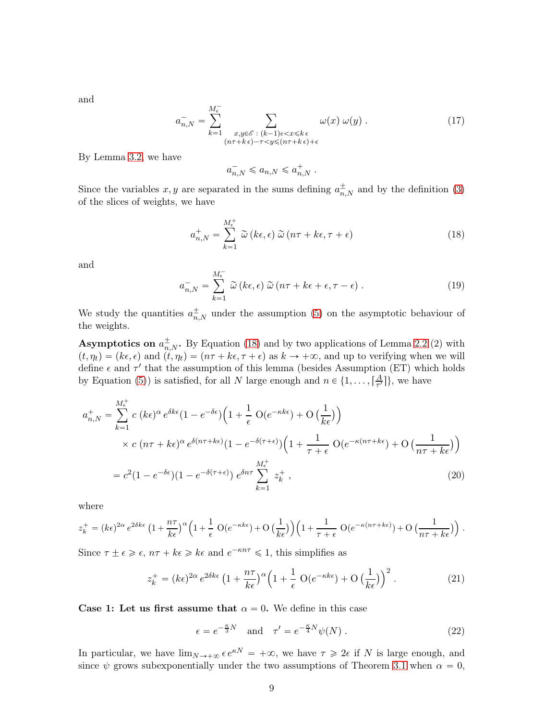and

<span id="page-8-4"></span>
$$
a_{n,N}^{-} = \sum_{k=1}^{M_{\epsilon}^{-}} \sum_{\substack{x,y \in \mathscr{E} \ : (k-1)\epsilon < x \leq k\epsilon \\ (n\tau + k\epsilon) - \tau < y \leq (n\tau + k\epsilon) + \epsilon}} \omega(x) \ \omega(y) \ . \tag{17}
$$

By Lemma [3.2,](#page-6-3) we have

$$
a_{n,N}^- \leqslant a_{n,N} \leqslant a_{n,N}^+ \; .
$$

Since the variables  $x, y$  are separated in the sums defining  $a_{n,N}^{\pm}$  and by the definition [\(3\)](#page-3-1) of the slices of weights, we have

<span id="page-8-1"></span>
$$
a_{n,N}^+ = \sum_{k=1}^{M_{\epsilon}^+} \tilde{\omega} \left( k\epsilon, \epsilon \right) \tilde{\omega} \left( n\tau + k\epsilon, \tau + \epsilon \right)
$$
 (18)

and

<span id="page-8-5"></span>
$$
a_{n,N}^- = \sum_{k=1}^{M_{\epsilon}^-} \tilde{\omega} \left( k\epsilon, \epsilon \right) \tilde{\omega} \left( n\tau + k\epsilon + \epsilon, \tau - \epsilon \right). \tag{19}
$$

We study the quantities  $a_{n,N}^{\pm}$  under the assumption [\(5\)](#page-5-1) on the asymptotic behaviour of the weights.

**Asymptotics on**  $a_{n,N}^{\pm}$ . By Equation [\(18\)](#page-8-1) and by two applications of Lemma [2.2](#page-3-2) (2) with  $p(t, \eta_t) = (k\epsilon, \epsilon)$  and  $(t, \eta_t) = (n\tau + k\epsilon, \tau + \epsilon)$  as  $k \to +\infty$ , and up to verifying when we will define  $\epsilon$  and  $\tau'$  that the assumption of this lemma (besides Assumption (ET) which holds by Equation [\(5\)](#page-5-1)) is satisfied, for all N large enough and  $n \in \{1, ..., \lceil \frac{A}{\tau'}\rceil\}$  $\frac{A}{\tau'}$ }, we have

$$
a_{n,N}^{+} = \sum_{k=1}^{M_{\epsilon}^{+}} c \left( k \epsilon \right)^{\alpha} e^{\delta k \epsilon} (1 - e^{-\delta \epsilon}) \left( 1 + \frac{1}{\epsilon} \operatorname{O}(e^{-\kappa k \epsilon}) + \operatorname{O}\left(\frac{1}{k \epsilon}\right) \right)
$$
  
 
$$
\times c \left( n \tau + k \epsilon \right)^{\alpha} e^{\delta(n \tau + k \epsilon)} (1 - e^{-\delta(\tau + \epsilon)}) \left( 1 + \frac{1}{\tau + \epsilon} \operatorname{O}(e^{-\kappa(n \tau + k \epsilon}) + \operatorname{O}\left(\frac{1}{n \tau + k \epsilon}\right) \right)
$$
  

$$
= c^{2} (1 - e^{-\delta \epsilon}) (1 - e^{-\delta(\tau + \epsilon)}) e^{\delta n \tau} \sum_{k=1}^{M_{\epsilon}^{+}} z_{k}^{+}, \tag{20}
$$

where

$$
z_k^+ = (k\epsilon)^{2\alpha} e^{2\delta k\epsilon} \left(1 + \frac{n\tau}{k\epsilon}\right)^{\alpha} \left(1 + \frac{1}{\epsilon} O(e^{-\kappa k\epsilon}) + O\left(\frac{1}{k\epsilon}\right)\right) \left(1 + \frac{1}{\tau + \epsilon} O(e^{-\kappa(n\tau + k\epsilon)}) + O\left(\frac{1}{n\tau + k\epsilon}\right)\right).
$$

Since  $\tau \pm \epsilon \geq \epsilon$ ,  $n\tau + k\epsilon \geq k\epsilon$  and  $e^{-\kappa n\tau} \leq 1$ , this simplifies as

<span id="page-8-2"></span>
$$
z_k^+ = (k\epsilon)^{2\alpha} e^{2\delta k\epsilon} \left(1 + \frac{n\tau}{k\epsilon}\right)^{\alpha} \left(1 + \frac{1}{\epsilon} \operatorname{O}(e^{-\kappa k\epsilon}) + \operatorname{O}\left(\frac{1}{k\epsilon}\right)\right)^2. \tag{21}
$$

Case 1: Let us first assume that  $\alpha = 0$ . We define in this case

<span id="page-8-3"></span><span id="page-8-0"></span>
$$
\epsilon = e^{-\frac{\kappa}{3}N} \quad \text{and} \quad \tau' = e^{-\frac{\kappa}{4}N}\psi(N) \,. \tag{22}
$$

In particular, we have  $\lim_{N\to+\infty} \epsilon e^{\kappa N} = +\infty$ , we have  $\tau \geq 2\epsilon$  if N is large enough, and since  $\psi$  grows subexponentially under the two assumptions of Theorem [3.1](#page-5-0) when  $\alpha = 0$ ,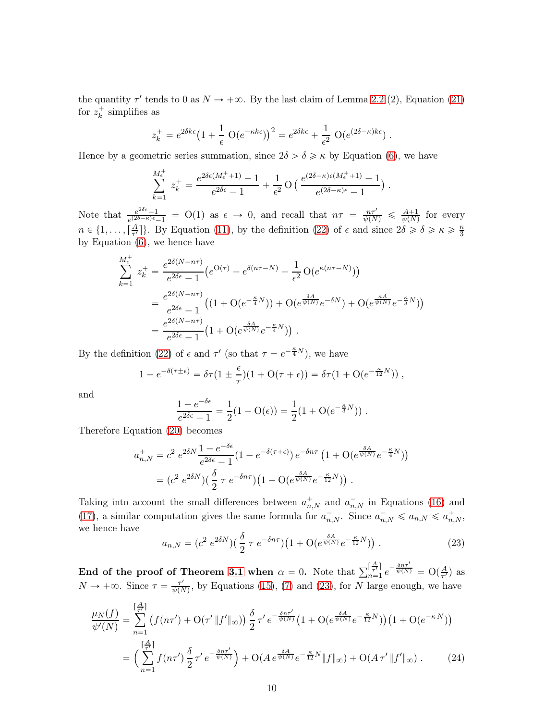the quantity  $\tau'$  tends to 0 as  $N \to +\infty$ . By the last claim of Lemma [2.2](#page-3-2) (2), Equation [\(21\)](#page-8-2) for  $z_k^+$  simplifies as

$$
z_k^+ = e^{2\delta k\epsilon} \left(1 + \frac{1}{\epsilon} \mathcal{O}(e^{-\kappa k\epsilon})\right)^2 = e^{2\delta k\epsilon} + \frac{1}{\epsilon^2} \mathcal{O}(e^{(2\delta - \kappa)k\epsilon}) .
$$

Hence by a geometric series summation, since  $2\delta > \delta \geq \kappa$  by Equation [\(6\)](#page-5-2), we have

$$
\sum_{k=1}^{M_{\epsilon}^{+}} z_{k}^{+} = \frac{e^{2\delta\epsilon(M_{\epsilon}^{+}+1)} - 1}{e^{2\delta\epsilon} - 1} + \frac{1}{\epsilon^{2}} O\left(\frac{e^{(2\delta - \kappa)\epsilon(M_{\epsilon}^{+}+1)} - 1}{e^{(2\delta - \kappa)\epsilon} - 1}\right).
$$

Note that  $\frac{e^{2\delta \epsilon}-1}{e^{(2\delta-\kappa)\epsilon}-1}$  = O(1) as  $\epsilon \to 0$ , and recall that  $n\tau = \frac{n\tau'}{\psi(N)} \leq \frac{A+1}{\psi(N)}$  for every  $n \in \{1, \ldots, \lceil \frac{A}{\tau'} \rceil\}$  $\frac{A}{\tau'}$ . By Equation [\(11\)](#page-6-4), by the definition [\(22\)](#page-8-0) of  $\epsilon$  and since  $2\delta \geq \delta \geq \kappa \geq \frac{\kappa}{3}$ by Equation [\(6\)](#page-5-2), we hence have

$$
\sum_{k=1}^{M_{\epsilon}^{+}} z_{k}^{+} = \frac{e^{2\delta(N-n\tau)}}{e^{2\delta\epsilon} - 1} \left( e^{O(\tau)} - e^{\delta(n\tau - N)} + \frac{1}{\epsilon^{2}} O(e^{\kappa(n\tau - N)}) \right)
$$
\n
$$
= \frac{e^{2\delta(N-n\tau)}}{e^{2\delta\epsilon} - 1} \left( \left( 1 + O(e^{-\frac{\kappa}{4}N}) \right) + O(e^{\frac{\delta A}{\psi(N)}} e^{-\delta N}) + O(e^{\frac{\kappa A}{\psi(N)}} e^{-\frac{\kappa}{3}N}) \right)
$$
\n
$$
= \frac{e^{2\delta(N-n\tau)}}{e^{2\delta\epsilon} - 1} \left( 1 + O(e^{\frac{\delta A}{\psi(N)}} e^{-\frac{\kappa}{4}N}) \right).
$$

By the definition [\(22\)](#page-8-0) of  $\epsilon$  and  $\tau'$  (so that  $\tau = e^{-\frac{\kappa}{4}N}$ ), we have

$$
1 - e^{-\delta(\tau \pm \epsilon)} = \delta \tau (1 \pm \frac{\epsilon}{\tau})(1 + O(\tau + \epsilon)) = \delta \tau (1 + O(e^{-\frac{\kappa}{12}N}))
$$

and

$$
\frac{1 - e^{-\delta \epsilon}}{e^{2\delta \epsilon} - 1} = \frac{1}{2} (1 + \mathcal{O}(\epsilon)) = \frac{1}{2} (1 + \mathcal{O}(e^{-\frac{\kappa}{3}N})) .
$$

Therefore Equation [\(20\)](#page-8-3) becomes

$$
a_{n,N}^+ = c^2 e^{2\delta N} \frac{1 - e^{-\delta \epsilon}}{e^{2\delta \epsilon} - 1} (1 - e^{-\delta(\tau + \epsilon)}) e^{-\delta n \tau} \left( 1 + \mathcal{O}(e^{\frac{\delta A}{\psi(N)}} e^{-\frac{\kappa}{4} N}) \right)
$$
  
= 
$$
(c^2 e^{2\delta N}) \left( \frac{\delta}{2} \tau e^{-\delta n \tau} \right) \left( 1 + \mathcal{O}(e^{\frac{\delta A}{\psi(N)}} e^{-\frac{\kappa}{12} N}) \right).
$$

Taking into account the small differences between  $a_{n,N}^+$  and  $a_{n,N}^-$  in Equations [\(16\)](#page-7-2) and [\(17\)](#page-8-4), a similar computation gives the same formula for  $a_{n,N}^-$ . Since  $a_{n,N}^- \leq a_{n,N} \leq a_{n,N}^+$ , we hence have

<span id="page-9-1"></span><span id="page-9-0"></span>
$$
a_{n,N} = (c^2 \ e^{2\delta N}) \left(\frac{\delta}{2} \ \tau \ e^{-\delta n \tau}\right) \left(1 + \mathcal{O}(e^{\frac{\delta A}{\psi(N)}} e^{-\frac{\kappa}{12}N})\right) \,. \tag{23}
$$

End of the proof of Theorem [3.1](#page-5-0) when  $\alpha = 0$ . Note that  $\sum_{n=1}^{\lceil \frac{A}{\tau} \rceil}$  $\left[\frac{A}{\tau'}\right]$   $e^{-\frac{\delta n\tau'}{\psi(N)}}$  =  $O\left(\frac{A}{\tau'}\right)$  $\frac{A}{\tau'}$ ) as  $N \to +\infty$ . Since  $\tau = \frac{\tau'}{\psi(N)}$  $\frac{\tau'}{\psi(N)}$ , by Equations [\(15\)](#page-7-3), [\(7\)](#page-6-5) and [\(23\)](#page-9-0), for N large enough, we have

$$
\frac{\mu_N(f)}{\psi'(N)} = \sum_{n=1}^{\lceil \frac{A}{\tau'} \rceil} \left( f(n\tau') + \mathcal{O}(\tau' \, \|f'\|_{\infty}) \right) \frac{\delta}{2} \, \tau' \, e^{-\frac{\delta n\tau'}{\psi(N)}} \left( 1 + \mathcal{O}(e^{\frac{\delta A}{\psi(N)}} e^{-\frac{\kappa}{12} N}) \right) \left( 1 + \mathcal{O}(e^{-\kappa N}) \right)
$$
\n
$$
= \left( \sum_{n=1}^{\lceil \frac{A}{\tau'} \rceil} f(n\tau') \frac{\delta}{2} \, \tau' \, e^{-\frac{\delta n\tau'}{\psi(N)}} \right) + \mathcal{O}(A \, e^{\frac{\delta A}{\psi(N)}} e^{-\frac{\kappa}{12} N} \|f\|_{\infty}) + \mathcal{O}(A \, \tau' \, \|f'\|_{\infty}) \,. \tag{24}
$$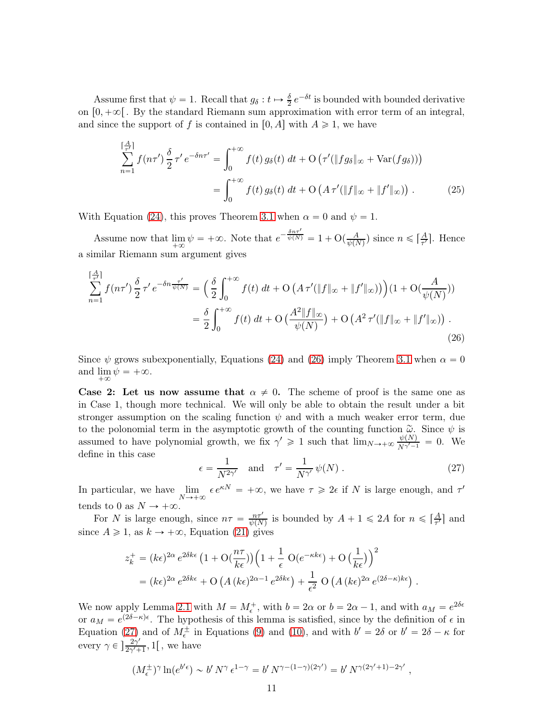Assume first that  $\psi = 1$ . Recall that  $g_{\delta}: t \mapsto \frac{\delta}{2} e^{-\delta t}$  is bounded with bounded derivative on  $[0, +\infty]$ . By the standard Riemann sum approximation with error term of an integral, and since the support of f is contained in [0, A] with  $A \ge 1$ , we have

<span id="page-10-2"></span>
$$
\sum_{n=1}^{\lceil \frac{A}{\tau} \rceil} f(n\tau') \frac{\delta}{2} \tau' e^{-\delta n \tau'} = \int_0^{+\infty} f(t) g_\delta(t) dt + \mathcal{O}\left(\tau'(\|fg_\delta\|_\infty + \text{Var}(fg_\delta))\right)
$$

$$
= \int_0^{+\infty} f(t) g_\delta(t) dt + \mathcal{O}\left(A \tau'(\|f\|_\infty + \|f'\|_\infty)\right). \tag{25}
$$

With Equation [\(24\)](#page-9-1), this proves Theorem [3.1](#page-5-0) when  $\alpha = 0$  and  $\psi = 1$ .

Assume now that  $\lim_{\epsilon \to 0} \psi = +\infty$ . Note that  $e^{-\frac{\delta n \tau'}{\psi(N)}} = 1 + \mathcal{O}(\frac{A}{\psi(N)})$ a similar Riemann sum argument gives  $\frac{A}{\psi(N)}$ ) since  $n \leqslant \lceil \frac{A}{\tau'} \rceil$  $\frac{A}{\tau'}$ . Hence

$$
\sum_{n=1}^{\lceil \frac{A}{\tau} \rceil} f(n\tau') \frac{\delta}{2} \tau' e^{-\delta n \frac{\tau'}{\psi(N)}} = \left( \frac{\delta}{2} \int_0^{+\infty} f(t) \, dt + \mathcal{O} \left( A \, \tau'(\|f\|_{\infty} + \|f'\|_{\infty}) \right) \right) (1 + \mathcal{O}(\frac{A}{\psi(N)}))
$$
\n
$$
= \frac{\delta}{2} \int_0^{+\infty} f(t) \, dt + \mathcal{O} \left( \frac{A^2 \|f\|_{\infty}}{\psi(N)} \right) + \mathcal{O} \left( A^2 \, \tau'(\|f\|_{\infty} + \|f'\|_{\infty}) \right) \, . \tag{26}
$$

Since  $\psi$  grows subexponentially, Equations [\(24\)](#page-9-1) and [\(26\)](#page-10-1) imply Theorem [3.1](#page-5-0) when  $\alpha = 0$ and  $\lim_{\epsilon \to 0} \psi = +\infty$ .  $+\infty$ 

Case 2: Let us now assume that  $\alpha \neq 0$ . The scheme of proof is the same one as in Case 1, though more technical. We will only be able to obtain the result under a bit stronger assumption on the scaling function  $\psi$  and with a much weaker error term, due to the polonomial term in the asymptotic growth of the counting function  $\tilde{\omega}$ . Since  $\psi$  is assumed to have polynomial growth, we fix  $\gamma' \geq 1$  such that  $\lim_{N \to \infty} \frac{\psi(N)}{N^{\gamma'-1}} = 0$ . We define in this case

<span id="page-10-1"></span><span id="page-10-0"></span>
$$
\epsilon = \frac{1}{N^{2\gamma'}} \quad \text{and} \quad \tau' = \frac{1}{N^{\gamma'}} \psi(N) . \tag{27}
$$

In particular, we have lim  $\lim_{N \to +\infty} \epsilon e^{\kappa N} = +\infty$ , we have  $\tau \geq 2\epsilon$  if N is large enough, and  $\tau'$ tends to 0 as  $N \to +\infty$ .

For N is large enough, since  $n\tau = \frac{n\tau'}{\psi(N)}$  is bounded by  $A + 1 \leq 2A$  for  $n \leq \left[\frac{A}{\tau'}\right]$  $\frac{A}{\tau'}$  and since  $A \ge 1$ , as  $k \to +\infty$ , Equation [\(21\)](#page-8-2) gives

$$
z_k^+ = (k\epsilon)^{2\alpha} e^{2\delta k\epsilon} \left(1 + \mathcal{O}\left(\frac{n\tau}{k\epsilon}\right)\right) \left(1 + \frac{1}{\epsilon} \mathcal{O}\left(e^{-\kappa k\epsilon}\right) + \mathcal{O}\left(\frac{1}{k\epsilon}\right)\right)^2
$$
  
= 
$$
(k\epsilon)^{2\alpha} e^{2\delta k\epsilon} + \mathcal{O}\left(A\left(k\epsilon\right)^{2\alpha - 1} e^{2\delta k\epsilon}\right) + \frac{1}{\epsilon^2} \mathcal{O}\left(A\left(k\epsilon\right)^{2\alpha} e^{(2\delta - \kappa)k\epsilon}\right).
$$

We now apply Lemma [2.1](#page-2-1) with  $M = M_{\epsilon}^+$ , with  $b = 2\alpha$  or  $b = 2\alpha - 1$ , and with  $a_M = e^{2\delta\epsilon}$ or  $a_M = e^{(2\delta - \kappa)\epsilon}$ . The hypothesis of this lemma is satisfied, since by the definition of  $\epsilon$  in Equation [\(27\)](#page-10-0) and of  $M_{\epsilon}^{\pm}$  in Equations [\(9\)](#page-6-1) and [\(10\)](#page-6-2), and with  $b' = 2\delta$  or  $b' = 2\delta - \kappa$  for every  $\gamma \in \left] \frac{2\gamma'}{2\gamma' +} \right.$  $\frac{2\gamma}{2\gamma'+1}, 1$ , we have

$$
(M_{\epsilon}^{\pm})^{\gamma} \ln(e^{b^{\prime}\epsilon}) \sim b^{\prime} N^{\gamma} \epsilon^{1-\gamma} = b^{\prime} N^{\gamma - (1-\gamma)(2\gamma^{\prime})} = b^{\prime} N^{\gamma(2\gamma^{\prime}+1)-2\gamma^{\prime}},
$$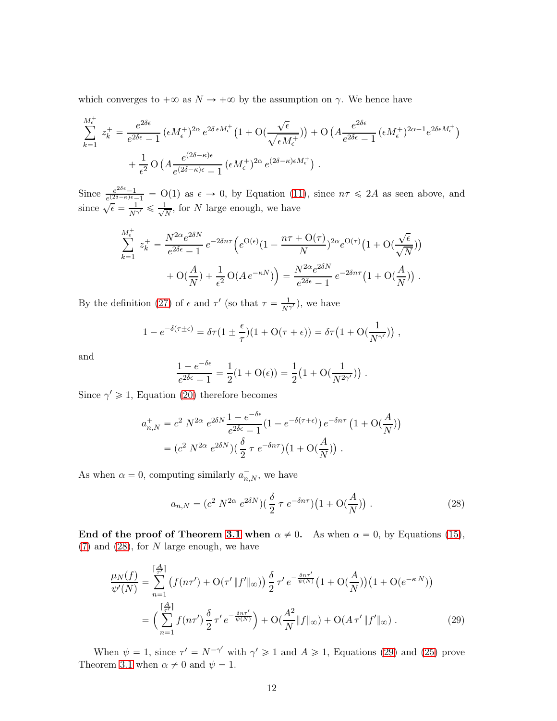which converges to  $+\infty$  as  $N \to +\infty$  by the assumption on  $\gamma$ . We hence have

$$
\sum_{k=1}^{M_{\epsilon}^{+}} z_{k}^{+} = \frac{e^{2\delta\epsilon}}{e^{2\delta\epsilon} - 1} \left(\epsilon M_{\epsilon}^{+}\right)^{2\alpha} e^{2\delta \epsilon M_{\epsilon}^{+}} \left(1 + \mathcal{O}\left(\frac{\sqrt{\epsilon}}{\sqrt{\epsilon M_{\epsilon}^{+}}}\right)\right) + \mathcal{O}\left(A \frac{e^{2\delta\epsilon}}{e^{2\delta\epsilon} - 1} \left(\epsilon M_{\epsilon}^{+}\right)^{2\alpha - 1} e^{2\delta\epsilon M_{\epsilon}^{+}}\right) + \frac{1}{\epsilon^{2}} \mathcal{O}\left(A \frac{e^{(2\delta - \kappa)\epsilon}}{e^{(2\delta - \kappa)\epsilon} - 1} \left(\epsilon M_{\epsilon}^{+}\right)^{2\alpha} e^{(2\delta - \kappa)\epsilon M_{\epsilon}^{+}}\right).
$$

Since  $\frac{e^{2\delta\epsilon}-1}{e^{(2\delta-\kappa)\epsilon}-1}$  = O(1) as  $\epsilon \to 0$ , by Equation [\(11\)](#page-6-4), since  $n\tau \leq 2A$  as seen above, and since  $\sqrt{\epsilon} = \frac{1}{N\gamma'} \leq \frac{1}{\sqrt{l}}$  $\frac{1}{N}$ , for N large enough, we have

$$
\sum_{k=1}^{M_{\epsilon}^{+}} z_{k}^{+} = \frac{N^{2\alpha} e^{2\delta N}}{e^{2\delta \epsilon} - 1} e^{-2\delta n\tau} \left( e^{O(\epsilon)} (1 - \frac{n\tau + O(\tau)}{N})^{2\alpha} e^{O(\tau)} (1 + O(\frac{\sqrt{\epsilon}}{\sqrt{N}})) + O(\frac{A}{N}) + \frac{1}{\epsilon^{2}} O(A e^{-\kappa N}) \right) = \frac{N^{2\alpha} e^{2\delta N}}{e^{2\delta \epsilon} - 1} e^{-2\delta n\tau} (1 + O(\frac{A}{N})).
$$

By the definition [\(27\)](#page-10-0) of  $\epsilon$  and  $\tau'$  (so that  $\tau = \frac{1}{N^{\gamma'}}$ ), we have

$$
1 - e^{-\delta(\tau \pm \epsilon)} = \delta \tau (1 \pm \frac{\epsilon}{\tau})(1 + O(\tau + \epsilon)) = \delta \tau (1 + O(\frac{1}{N^{\gamma'}})),
$$

and

$$
\frac{1 - e^{-\delta \epsilon}}{e^{2\delta \epsilon} - 1} = \frac{1}{2} (1 + \mathcal{O}(\epsilon)) = \frac{1}{2} (1 + \mathcal{O}(\frac{1}{N^{2\gamma'}})) .
$$

Since  $\gamma' \geq 1$ , Equation [\(20\)](#page-8-3) therefore becomes

$$
a_{n,N}^+ = c^2 N^{2\alpha} e^{2\delta N} \frac{1 - e^{-\delta \epsilon}}{e^{2\delta \epsilon} - 1} (1 - e^{-\delta(\tau + \epsilon)}) e^{-\delta n \tau} (1 + \mathcal{O}(\frac{A}{N}))
$$
  
=  $(c^2 N^{2\alpha} e^{2\delta N}) (\frac{\delta}{2} \tau e^{-\delta n \tau}) (1 + \mathcal{O}(\frac{A}{N}))$ .

As when  $\alpha = 0$ , computing similarly  $a_{n,N}^-$ , we have

<span id="page-11-1"></span><span id="page-11-0"></span>
$$
a_{n,N} = (c^2 N^{2\alpha} e^{2\delta N})(\frac{\delta}{2} \tau e^{-\delta n\tau})(1 + \mathcal{O}(\frac{A}{N})).
$$
\n(28)

End of the proof of Theorem [3.1](#page-5-0) when  $\alpha \neq 0$ . As when  $\alpha = 0$ , by Equations [\(15\)](#page-7-3),  $(7)$  and  $(28)$ , for N large enough, we have

$$
\frac{\mu_N(f)}{\psi'(N)} = \sum_{n=1}^{\lceil \frac{A}{\tau} \rceil} \left( f(n\tau') + \mathcal{O}(\tau' \, \|f'\|_{\infty}) \right) \frac{\delta}{2} \, \tau' \, e^{-\frac{\delta n\tau'}{\psi(N)}} \left( 1 + \mathcal{O}(\frac{A}{N}) \right) \left( 1 + \mathcal{O}(e^{-\kappa N}) \right)
$$
\n
$$
= \left( \sum_{n=1}^{\lceil \frac{A}{\tau} \rceil} f(n\tau') \frac{\delta}{2} \, \tau' \, e^{-\frac{\delta n\tau'}{\psi(N)}} \right) + \mathcal{O}(\frac{A^2}{N} \|f\|_{\infty}) + \mathcal{O}(A \, \tau' \, \|f'\|_{\infty}) \,. \tag{29}
$$

When  $\psi = 1$ , since  $\tau' = N^{-\gamma'}$  with  $\gamma' \ge 1$  and  $A \ge 1$ , Equations [\(29\)](#page-11-1) and [\(25\)](#page-10-2) prove Theorem [3.1](#page-5-0) when  $\alpha \neq 0$  and  $\psi = 1$ .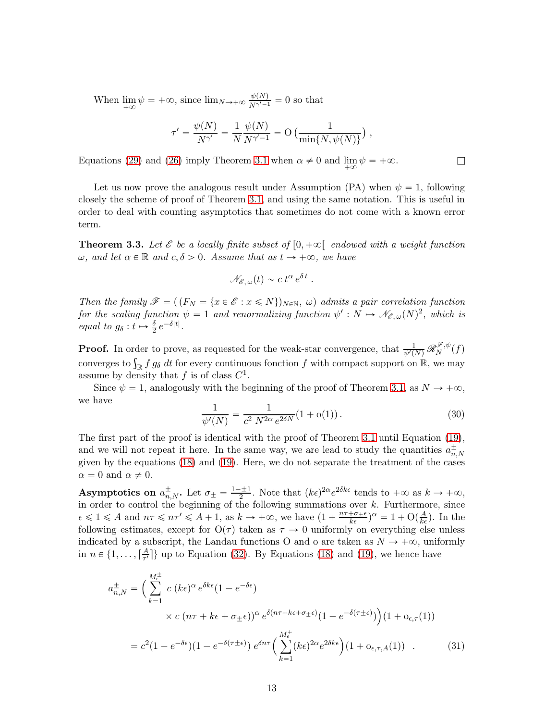When lim  $\lim_{N \to \infty} \psi = +\infty$ , since  $\lim_{N \to +\infty} \frac{\psi(N)}{N^{\gamma'-1}} = 0$  so that

$$
\tau' = \frac{\psi(N)}{N^{\gamma'}} = \frac{1}{N} \frac{\psi(N)}{N^{\gamma'-1}} = O\left(\frac{1}{\min\{N, \psi(N)\}}\right),\,
$$

Equations [\(29\)](#page-11-1) and [\(26\)](#page-10-1) imply Theorem [3.1](#page-5-0) when  $\alpha \neq 0$  and  $\lim_{+\infty} \psi = +\infty$ .

Let us now prove the analogous result under Assumption (PA) when  $\psi = 1$ , following closely the scheme of proof of Theorem [3.1,](#page-5-0) and using the same notation. This is useful in order to deal with counting asymptotics that sometimes do not come with a known error term.

<span id="page-12-2"></span>**Theorem 3.3.** Let  $\mathscr E$  be a locally finite subset of  $[0, +\infty[$  endowed with a weight function  $\omega$ , and let  $\alpha \in \mathbb{R}$  and  $c, \delta > 0$ . Assume that as  $t \to +\infty$ , we have

$$
\mathscr{N}_{\mathscr{E},\,\omega}(t)\sim c\,t^{\alpha}\,e^{\delta\,t}.
$$

Then the family  $\mathscr{F} = ((F_N = \{x \in \mathscr{E} : x \leq N\})_{N \in \mathbb{N}}, \omega)$  admits a pair correlation function for the scaling function  $\psi = 1$  and renormalizing function  $\psi' : N \mapsto \mathcal{N}_{\mathscr{E}, \omega}(N)^2$ , which is equal to  $g_{\delta}: t \mapsto \frac{\delta}{2} e^{-\delta|t|}.$ 

**Proof.** In order to prove, as requested for the weak-star convergence, that  $\frac{1}{\psi'(N)} \mathscr{R}_{N}^{\mathscr{F},\psi}$  $\binom{m}{N}$ converges to  $\int_{\mathbb{R}} f g_\delta dt$  for every continuous fonction f with compact support on  $\mathbb{R}$ , we may assume by density that f is of class  $C^1$ .

Since  $\psi = 1$ , analogously with the beginning of the proof of Theorem [3.1,](#page-5-0) as  $N \to +\infty$ , we have

<span id="page-12-1"></span><span id="page-12-0"></span>
$$
\frac{1}{\psi'(N)} = \frac{1}{c^2 N^{2\alpha} e^{2\delta N}} (1 + o(1)).
$$
\n(30)

The first part of the proof is identical with the proof of Theorem [3.1](#page-5-0) until Equation [\(19\)](#page-8-5), and we will not repeat it here. In the same way, we are lead to study the quantities  $a_{n,N}^{\pm}$ given by the equations [\(18\)](#page-8-1) and [\(19\)](#page-8-5). Here, we do not separate the treatment of the cases  $\alpha = 0$  and  $\alpha \neq 0$ .

**Asymptotics on**  $a_{n,N}^{\pm}$ . Let  $\sigma_{\pm} = \frac{1-\pm 1}{2}$ . Note that  $(k\epsilon)^{2\alpha}e^{2\delta k\epsilon}$  tends to  $+\infty$  as  $k \to +\infty$ , in order to control the beginning of the following summations over  $k$ . Furthermore, since  $\epsilon \leq 1 \leq A$  and  $n\tau \leq n\tau' \leq A + 1$ , as  $k \to +\infty$ , we have  $(1 + \frac{n\tau + \sigma_{\pm} \epsilon}{k\epsilon})^{\alpha} = 1 + \mathcal{O}(\frac{A}{k\epsilon})$ . In the following estimates, except for  $O(\tau)$  taken as  $\tau \to 0$  uniformly on everything else unless indicated by a subscript, the Landau functions O and o are taken as  $N \to +\infty$ , uniformly in  $n \in \{1, ..., \lceil \frac{A}{\tau'} \rceil\}$  $\frac{A}{\tau'}$ } up to Equation [\(32\)](#page-13-1). By Equations [\(18\)](#page-8-1) and [\(19\)](#page-8-5), we hence have

$$
a_{n,N}^{\pm} = \left(\sum_{k=1}^{M_{\epsilon}^{\pm}} c \left( k \epsilon \right)^{\alpha} e^{\delta k \epsilon} (1 - e^{-\delta \epsilon}) \times c \left( n \tau + k \epsilon + \sigma_{\pm} \epsilon \right)^{\alpha} e^{\delta (n \tau + k \epsilon + \sigma_{\pm} \epsilon)} (1 - e^{-\delta (\tau \pm \epsilon)}) \left( 1 + o_{\epsilon, \tau}(1) \right)^{\alpha}
$$

$$
= c^2 (1 - e^{-\delta \epsilon}) (1 - e^{-\delta (\tau \pm \epsilon)}) e^{\delta n \tau} \left( \sum_{k=1}^{M_{\epsilon}^{\pm}} (k \epsilon)^{2\alpha} e^{2\delta k \epsilon} \right) (1 + o_{\epsilon, \tau, A}(1)) . \tag{31}
$$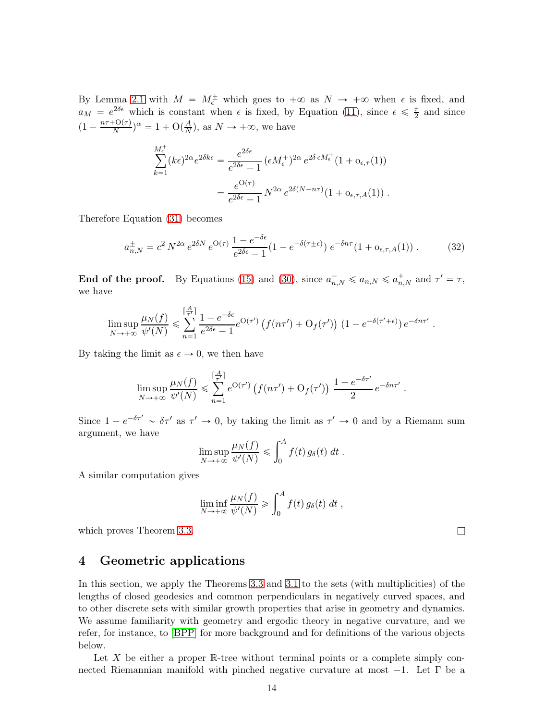By Lemma [2.1](#page-2-1) with  $M = M_{\epsilon}^{\pm}$  which goes to  $+\infty$  as  $N \rightarrow +\infty$  when  $\epsilon$  is fixed, and  $a_M = e^{2\delta \epsilon}$  which is constant when  $\epsilon$  is fixed, by Equation [\(11\)](#page-6-4), since  $\epsilon \leq \frac{\tau}{2}$  and since  $(1 - \frac{n\tau + O(\tau)}{N})^{\alpha} = 1 + O(\frac{A}{N})$  $\frac{A}{N}$ , as  $N \to +\infty$ , we have

$$
\sum_{k=1}^{M_{\epsilon}^{+}} (k\epsilon)^{2\alpha} e^{2\delta k \epsilon} = \frac{e^{2\delta \epsilon}}{e^{2\delta \epsilon} - 1} \left( \epsilon M_{\epsilon}^{+} \right)^{2\alpha} e^{2\delta \epsilon M_{\epsilon}^{+}} (1 + o_{\epsilon, \tau}(1))
$$

$$
= \frac{e^{O(\tau)}}{e^{2\delta \epsilon} - 1} N^{2\alpha} e^{2\delta (N - n\tau)} (1 + o_{\epsilon, \tau, A}(1)) .
$$

Therefore Equation [\(31\)](#page-12-0) becomes

<span id="page-13-1"></span>
$$
a_{n,N}^{\pm} = c^2 N^{2\alpha} e^{2\delta N} e^{\mathcal{O}(\tau)} \frac{1 - e^{-\delta \epsilon}}{e^{2\delta \epsilon} - 1} (1 - e^{-\delta(\tau \pm \epsilon)}) e^{-\delta n \tau} (1 + o_{\epsilon, \tau, A}(1)) . \tag{32}
$$

End of the proof. By Equations [\(15\)](#page-7-3) and [\(30\)](#page-12-1), since  $a_{n,N}^- \leq a_{n,N} \leq a_{n,N}^+$  and  $\tau' = \tau$ , we have

$$
\limsup_{N \to +\infty} \frac{\mu_N(f)}{\psi'(N)} \leq \sum_{n=1}^{\lceil \frac{A}{\tau'} \rceil} \frac{1 - e^{-\delta \epsilon}}{e^{2\delta \epsilon} - 1} e^{\mathcal{O}(\tau')} \left( f(n\tau') + \mathcal{O}_f(\tau') \right) \left( 1 - e^{-\delta(\tau' + \epsilon)} \right) e^{-\delta n \tau'}.
$$

By taking the limit as  $\epsilon \to 0$ , we then have

$$
\limsup_{N \to +\infty} \frac{\mu_N(f)}{\psi'(N)} \leq \sum_{n=1}^{\lceil \frac{A}{\tau} \rceil} e^{O(\tau')} \left( f(n\tau') + O_f(\tau') \right) \frac{1 - e^{-\delta \tau'}}{2} e^{-\delta n \tau'}
$$

Since  $1 - e^{-\delta \tau'} \sim \delta \tau'$  as  $\tau' \to 0$ , by taking the limit as  $\tau' \to 0$  and by a Riemann sum argument, we have

$$
\limsup_{N \to +\infty} \frac{\mu_N(f)}{\psi'(N)} \leqslant \int_0^A f(t) g_\delta(t) dt.
$$

A similar computation gives

$$
\liminf_{N \to +\infty} \frac{\mu_N(f)}{\psi'(N)} \geq \int_0^A f(t) g_\delta(t) dt,
$$

which proves Theorem [3.3.](#page-12-2)  $\Box$ 

### <span id="page-13-0"></span>4 Geometric applications

In this section, we apply the Theorems [3.3](#page-12-2) and [3.1](#page-5-0) to the sets (with multiplicities) of the lengths of closed geodesics and common perpendiculars in negatively curved spaces, and to other discrete sets with similar growth properties that arise in geometry and dynamics. We assume familiarity with geometry and ergodic theory in negative curvature, and we refer, for instance, to [\[BPP\]](#page-16-9) for more background and for definitions of the various objects below.

Let X be either a proper  $\mathbb{R}$ -tree without terminal points or a complete simply connected Riemannian manifold with pinched negative curvature at most  $-1$ . Let Γ be a

.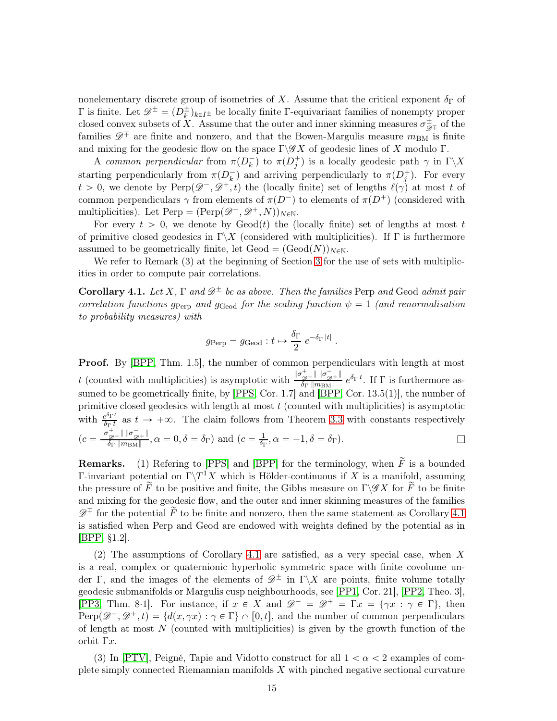nonelementary discrete group of isometries of X. Assume that the critical exponent  $\delta_{\Gamma}$  of  $\Gamma$  is finite. Let  $\mathscr{D}^{\pm} = (D^{\pm}_k)_{k \in I^{\pm}}$  be locally finite Γ-equivariant families of nonempty proper closed convex subsets of X. Assume that the outer and inner skinning measures  $\sigma_{\mathscr{D}^{\pm}}^{\pm}$  of the families  $\mathscr{D}^{\mp}$  are finite and nonzero, and that the Bowen-Margulis measure  $m_{BM}$  is finite and mixing for the geodesic flow on the space  $\Gamma \backslash \mathscr{G}X$  of geodesic lines of X modulo  $\Gamma$ .

A common perpendicular from  $\pi(D_k^-)$  to  $\pi(D_j^+)$  is a locally geodesic path  $\gamma$  in  $\Gamma\backslash X$ starting perpendicularly from  $\pi(D_k^-)$  and arriving perpendicularly to  $\pi(D_j^+)$ . For every  $t > 0$ , we denote by Perp $(\mathscr{D}^-, \mathscr{D}^+, t)$  the (locally finite) set of lengths  $\ell(\gamma)$  at most t of common perpendiculars  $\gamma$  from elements of  $\pi(D^-)$  to elements of  $\pi(D^+)$  (considered with multiplicities). Let  $\text{Perp} = (\text{Perp}(\mathscr{D}^-, \mathscr{D}^+, N))_{N\in\mathbb{N}}$ .

For every  $t > 0$ , we denote by  $\text{Geod}(t)$  the (locally finite) set of lengths at most t of primitive closed geodesics in  $\Gamma \backslash X$  (considered with multiplicities). If  $\Gamma$  is furthermore assumed to be geometrically finite, let  $\text{Geod} = (\text{Geod}(N))_{N\in\mathbb{N}}$ .

We refer to Remark (3) at the beginning of Section [3](#page-4-0) for the use of sets with multiplicities in order to compute pair correlations.

<span id="page-14-0"></span>Corollary 4.1. Let X,  $\Gamma$  and  $\mathscr{D}^{\pm}$  be as above. Then the families Perp and Geod admit pair correlation functions  $g_{\text{Perp}}$  and  $g_{\text{Geod}}$  for the scaling function  $\psi = 1$  (and renormalisation to probability measures) with

$$
g_{\text{Perp}} = g_{\text{Geod}} : t \mapsto \frac{\delta_{\Gamma}}{2} e^{-\delta_{\Gamma} |t|}.
$$

Proof. By [\[BPP,](#page-16-9) Thm. 1.5], the number of common perpendiculars with length at most t (counted with multiplicities) is asymptotic with  $\frac{\|\sigma_{\mathcal{D}^+}^+\| \|\sigma_{\mathcal{D}^+}^-\|}{\delta_{\mathcal{D}} \| m_{\mathcal{D}} \|}$  $\frac{\mathscr{D}^{-} \parallel \parallel^0 \mathscr{D}^{+} \parallel}{\delta_{\Gamma} \parallel m_{\text{BM}} \parallel} e^{\delta_{\Gamma} t}$ . If  $\Gamma$  is furthermore assumed to be geometrically finite, by [\[PPS,](#page-17-3) Cor. 1.7] and [\[BPP,](#page-16-9) Cor. 13.5(1)], the number of primitive closed geodesics with length at most  $t$  (counted with multiplicities) is asymptotic with  $\frac{e^{\delta_{\Gamma}t}}{\delta_{\Gamma}t}$  $\frac{\partial^{\varphi_1,\varphi}}{\partial \Gamma t}$  as  $t \to +\infty$ . The claim follows from Theorem [3.3](#page-12-2) with constants respectively  $\big( c = \tfrac{\|\sigma^+_{\mathscr{D}^{-}} \|~\|\sigma^-_{\mathscr{D}^{+}}\|}{\delta_{\Gamma}~\|m_{\rm BM}\|}$  $\frac{f_{\mathscr{D}} - \mathbb{I} \parallel \sigma_{\mathscr{D}^+} \mathbb{I}}{\delta_{\Gamma} \parallel m_{\text{BM}} \parallel}, \alpha = 0, \delta = \delta_{\Gamma}$ ) and  $(c = \frac{1}{\delta_{\Gamma}})$  $\frac{1}{\delta_{\Gamma}}, \alpha = -1, \delta = \delta_{\Gamma}$ ).

**Remarks.** (1) Refering to [\[PPS\]](#page-17-3) and [\[BPP\]](#page-16-9) for the terminology, when  $\tilde{F}$  is a bounded Γ-invariant potential on  $\Gamma\backslash T^1X$  which is Hölder-continuous if X is a manifold, assuming the pressure of  $\tilde{F}$  to be positive and finite, the Gibbs measure on  $\Gamma \backslash \mathscr{G}X$  for  $\tilde{F}$  to be finite and mixing for the geodesic flow, and the outer and inner skinning measures of the families  $\mathscr{D}^{\mp}$  for the potential  $\widetilde{F}$  to be finite and nonzero, then the same statement as Corollary [4.1](#page-14-0) is satisfied when Perp and Geod are endowed with weights defined by the potential as in [\[BPP,](#page-16-9) §1.2].

(2) The assumptions of Corollary [4.1](#page-14-0) are satisfied, as a very special case, when X is a real, complex or quaternionic hyperbolic symmetric space with finite covolume under Γ, and the images of the elements of  $\mathscr{D}^{\pm}$  in Γ\X are points, finite volume totally geodesic submanifolds or Margulis cusp neighbourhoods, see [\[PP1,](#page-16-10) Cor. 21], [\[PP2,](#page-16-11) Theo. 3], [\[PP3,](#page-16-12) Thm. 8·1]. For instance, if  $x \in X$  and  $\mathscr{D}^- = \mathscr{D}^+ = \Gamma x = \{ \gamma x : \gamma \in \Gamma \}$ , then  $Perp(\mathscr{D}^-, \mathscr{D}^+, t) = \{d(x, \gamma x): \gamma \in \Gamma\} \cap [0, t],$  and the number of common perpendiculars of length at most  $N$  (counted with multiplicities) is given by the growth function of the orbit Γx.

(3) In [\[PTV\]](#page-17-4), Peigné, Tapie and Vidotto construct for all  $1 < \alpha < 2$  examples of complete simply connected Riemannian manifolds  $X$  with pinched negative sectional curvature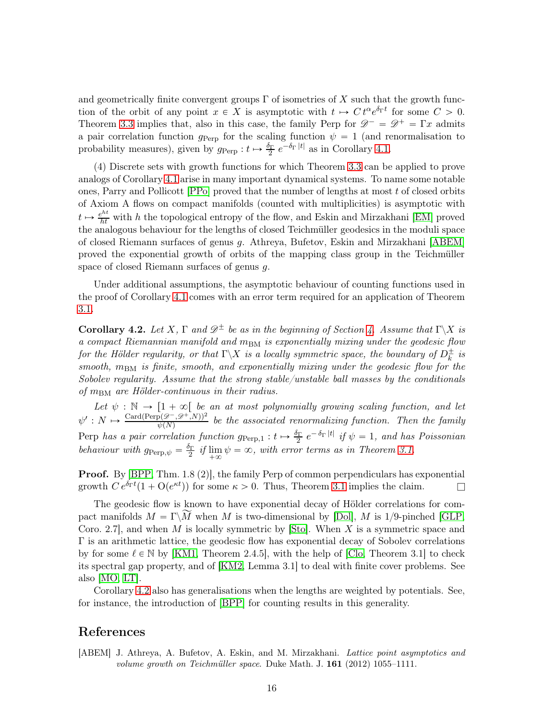and geometrically finite convergent groups  $\Gamma$  of isometries of X such that the growth function of the orbit of any point  $x \in X$  is asymptotic with  $t \mapsto C t^{\alpha} e^{\delta_{\Gamma} t}$  for some  $C > 0$ . Theorem [3.3](#page-12-2) implies that, also in this case, the family Perp for  $\mathscr{D}^- = \mathscr{D}^+ = \Gamma x$  admits a pair correlation function  $g_{\text{Perp}}$  for the scaling function  $\psi = 1$  (and renormalisation to probability measures), given by  $g_{\text{Perp}}: t \mapsto \frac{\delta_{\Gamma}}{2} e^{-\delta_{\Gamma} |t|}$  as in Corollary [4.1.](#page-14-0)

(4) Discrete sets with growth functions for which Theorem [3.3](#page-12-2) can be applied to prove analogs of Corollary [4.1](#page-14-0) arise in many important dynamical systems. To name some notable ones, Parry and Pollicott  $[PPo]$  proved that the number of lengths at most t of closed orbits of Axiom A flows on compact manifolds (counted with multiplicities) is asymptotic with  $t \mapsto \frac{e^{ht}}{ht}$  with h the topological entropy of the flow, and Eskin and Mirzakhani [\[EM\]](#page-16-7) proved the analogous behaviour for the lengths of closed Teichmüller geodesics in the moduli space of closed Riemann surfaces of genus g. Athreya, Bufetov, Eskin and Mirzakhani [\[ABEM\]](#page-15-0) proved the exponential growth of orbits of the mapping class group in the Teichmüller space of closed Riemann surfaces of genus g.

Under additional assumptions, the asymptotic behaviour of counting functions used in the proof of Corollary [4.1](#page-14-0) comes with an error term required for an application of Theorem [3.1.](#page-5-0)

<span id="page-15-1"></span>Corollary [4.](#page-13-0)2. Let X,  $\Gamma$  and  $\mathscr{D}^{\pm}$  be as in the beginning of Section 4. Assume that  $\Gamma \backslash X$  is a compact Riemannian manifold and  $m_{BM}$  is exponentially mixing under the geodesic flow for the Hölder regularity, or that  $\Gamma\backslash X$  is a locally symmetric space, the boundary of  $D_k^{\pm}$  is smooth,  $m_{BM}$  is finite, smooth, and exponentially mixing under the geodesic flow for the Sobolev regularity. Assume that the strong stable/unstable ball masses by the conditionals of  $m_{\text{BM}}$  are Hölder-continuous in their radius.

Let  $\psi : \mathbb{N} \to [1 + \infty[$  be an at most polynomially growing scaling function, and let  $\psi': N \mapsto \frac{\text{Card}(\text{Perp}(\mathcal{D}^-, \mathcal{D}^+, N))^2}{\psi(N)}$  be the associated renormalizing function. Then the family Perp has a pair correlation function  $g_{\text{Perp},1}: t \mapsto \frac{\delta_{\Gamma}}{2} e^{-\delta_{\Gamma} |t|}$  if  $\psi = 1$ , and has Poissonian behaviour with  $g_{\text{Perp}, \psi} = \frac{\delta_{\Gamma}}{2}$  $\frac{2r}{2}$  if  $\lim_{+\infty}$  $\lim_{+\infty} \psi = \infty$ , with error terms as in Theorem [3.1.](#page-5-0)

**Proof.** By [\[BPP,](#page-16-9) Thm. 1.8 (2)], the family Perp of common perpendiculars has exponential growth  $C e^{\delta_{\Gamma} t} (1 + O(e^{\kappa t}))$  for some  $\kappa > 0$ . Thus, Theorem [3.1](#page-5-0) implies the claim.

The geodesic flow is known to have exponential decay of Hölder correlations for compact manifolds  $M = \Gamma \backslash \widetilde{M}$  when M is two-dimensional by [\[Dol\]](#page-16-13), M is 1/9-pinched [\[GLP,](#page-16-14) Coro. 2.7, and when M is locally symmetric by [\[Sto\]](#page-17-5). When X is a symmetric space and  $\Gamma$  is an arithmetic lattice, the geodesic flow has exponential decay of Sobolev correlations by for some  $\ell \in \mathbb{N}$  by [\[KM1,](#page-16-15) Theorem 2.4.5], with the help of [\[Clo,](#page-16-16) Theorem 3.1] to check its spectral gap property, and of [\[KM2,](#page-16-17) Lemma 3.1] to deal with finite cover problems. See also [\[MO,](#page-16-18) [LT\]](#page-16-19).

Corollary [4.2](#page-15-1) also has generalisations when the lengths are weighted by potentials. See, for instance, the introduction of [\[BPP\]](#page-16-9) for counting results in this generality.

#### References

<span id="page-15-0"></span>[ABEM] J. Athreya, A. Bufetov, A. Eskin, and M. Mirzakhani. Lattice point asymptotics and volume growth on Teichmüller space. Duke Math. J.  $161$  (2012) 1055–1111.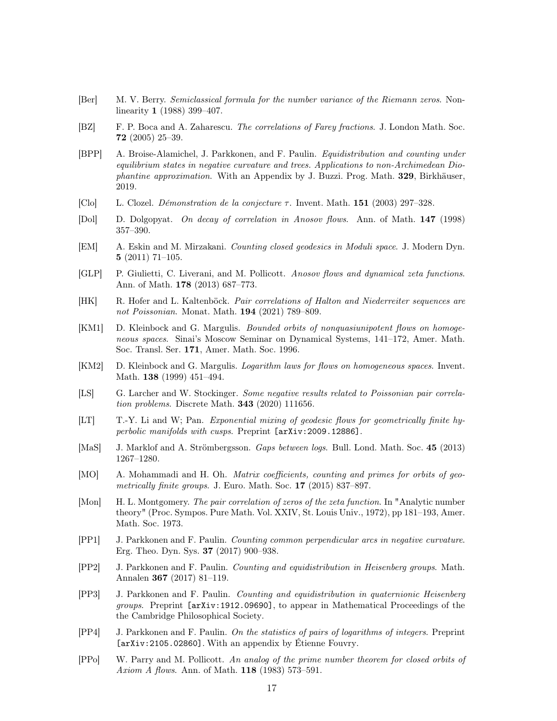- <span id="page-16-1"></span>[Ber] M. V. Berry. Semiclassical formula for the number variance of the Riemann zeros. Nonlinearity 1 (1988) 399–407.
- <span id="page-16-2"></span>[BZ] F. P. Boca and A. Zaharescu. The correlations of Farey fractions. J. London Math. Soc. 72 (2005) 25–39.
- <span id="page-16-9"></span>[BPP] A. Broise-Alamichel, J. Parkkonen, and F. Paulin. Equidistribution and counting under equilibrium states in negative curvature and trees. Applications to non-Archimedean Diophantine approximation. With an Appendix by J. Buzzi. Prog. Math. 329, Birkhäuser, 2019.
- <span id="page-16-16"></span>[Clo] L. Clozel. *Démonstration de la conjecture*  $\tau$ . Invent. Math. **151** (2003) 297–328.
- <span id="page-16-13"></span>[Dol] D. Dolgopyat. On decay of correlation in Anosov flows. Ann. of Math. 147 (1998) 357–390.
- <span id="page-16-7"></span>[EM] A. Eskin and M. Mirzakani. Counting closed geodesics in Moduli space. J. Modern Dyn. 5 (2011) 71–105.
- <span id="page-16-14"></span>[GLP] P. Giulietti, C. Liverani, and M. Pollicott. Anosov flows and dynamical zeta functions. Ann. of Math. 178 (2013) 687–773.
- <span id="page-16-5"></span>[HK] R. Hofer and L. Kaltenböck. Pair correlations of Halton and Niederreiter sequences are not Poissonian. Monat. Math. 194 (2021) 789–809.
- <span id="page-16-15"></span>[KM1] D. Kleinbock and G. Margulis. Bounded orbits of nonquasiunipotent flows on homogeneous spaces. Sinai's Moscow Seminar on Dynamical Systems, 141–172, Amer. Math. Soc. Transl. Ser. 171, Amer. Math. Soc. 1996.
- <span id="page-16-17"></span>[KM2] D. Kleinbock and G. Margulis. Logarithm laws for flows on homogeneous spaces. Invent. Math. 138 (1999) 451–494.
- <span id="page-16-4"></span>[LS] G. Larcher and W. Stockinger. Some negative results related to Poissonian pair correlation problems. Discrete Math. 343 (2020) 111656.
- <span id="page-16-19"></span>[LT] T.-Y. Li and W; Pan. Exponential mixing of geodesic flows for geometrically finite hyperbolic manifolds with cusps. Preprint [arXiv:2009.12886].
- <span id="page-16-3"></span>[MaS] J. Marklof and A. Strömbergsson. Gaps between logs. Bull. Lond. Math. Soc. 45 (2013) 1267–1280.
- <span id="page-16-18"></span>[MO] A. Mohammadi and H. Oh. *Matrix coefficients, counting and primes for orbits of geo*metrically finite groups. J. Euro. Math. Soc.  $17$  (2015) 837–897.
- <span id="page-16-0"></span>[Mon] H. L. Montgomery. The pair correlation of zeros of the zeta function. In "Analytic number theory" (Proc. Sympos. Pure Math. Vol. XXIV, St. Louis Univ., 1972), pp 181–193, Amer. Math. Soc. 1973.
- <span id="page-16-10"></span>[PP1] J. Parkkonen and F. Paulin. Counting common perpendicular arcs in negative curvature. Erg. Theo. Dyn. Sys. 37 (2017) 900–938.
- <span id="page-16-11"></span>[PP2] J. Parkkonen and F. Paulin. Counting and equidistribution in Heisenberg groups. Math. Annalen 367 (2017) 81–119.
- <span id="page-16-12"></span>[PP3] J. Parkkonen and F. Paulin. Counting and equidistribution in quaternionic Heisenberg groups. Preprint [arXiv:1912.09690], to appear in Mathematical Proceedings of the the Cambridge Philosophical Society.
- <span id="page-16-8"></span>[PP4] J. Parkkonen and F. Paulin. On the statistics of pairs of logarithms of integers. Preprint [arXiv:2105.02860]. With an appendix by Étienne Fouvry.
- <span id="page-16-6"></span>[PPo] W. Parry and M. Pollicott. An analog of the prime number theorem for closed orbits of Axiom A flows. Ann. of Math. **118** (1983) 573-591.